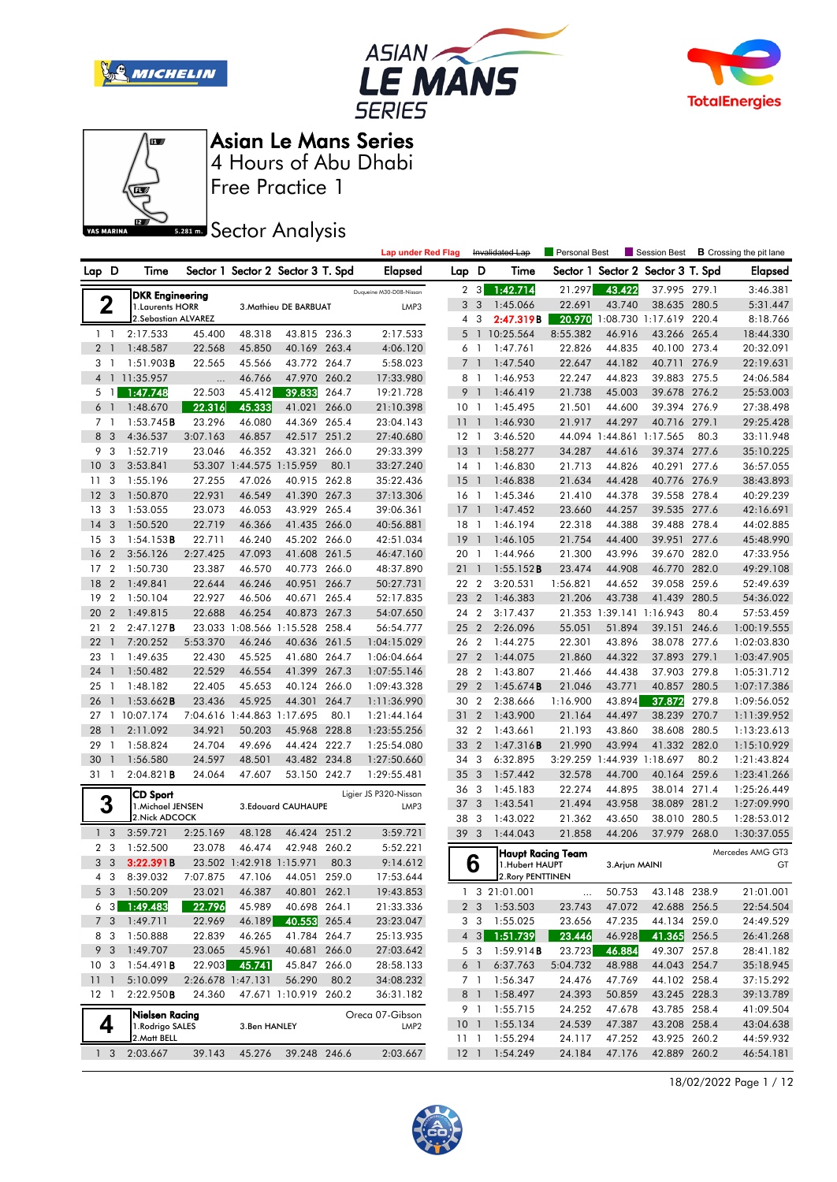







Free Practice 1

# **Sector Analysis**

|                                  |                       |                        |                                    |                       |       | <b>Lap under Red Flag</b>           |                 |                          | Invalidated Lap                     | <b>Personal Best</b> |                | Session Best               |       | <b>B</b> Crossing the pit lane |
|----------------------------------|-----------------------|------------------------|------------------------------------|-----------------------|-------|-------------------------------------|-----------------|--------------------------|-------------------------------------|----------------------|----------------|----------------------------|-------|--------------------------------|
| Lap D                            | Time                  |                        | Sector 1 Sector 2 Sector 3 T. Spd  |                       |       | <b>Elapsed</b>                      | Lap D           |                          | Time                                | Sector 1             |                | Sector 2 Sector 3 T. Spd   |       | Elapsed                        |
|                                  |                       | <b>DKR Engineering</b> |                                    |                       |       | Duqueine M30-D08-Nissan             | $\mathbf{2}$    | 3                        | 1:42.714                            | 21.297               | 43.422         | 37.995 279.1               |       | 3:46.381                       |
| 2                                |                       | 1. Laurents HORR       |                                    | 3. Mathieu DE BARBUAT |       | LMP3                                | 3               | 3                        | 1:45.066                            | 22.691               | 43.740         | 38.635 280.5               |       | 5:31.447                       |
|                                  |                       | 2.Sebastian ALVAREZ    |                                    |                       |       |                                     | 4               | 3                        | 2:47.319B                           | 20.970               |                | 1:08.730 1:17.619 220.4    |       | 8:18.766                       |
| $1\quad$                         | 2:17.533              | 45.400                 | 48.318                             | 43.815 236.3          |       | 2:17.533                            | 5               | $\overline{1}$           | 10:25.564                           | 8:55.382             | 46.916         | 43.266 265.4               |       | 18:44.330                      |
| 2 <sub>1</sub>                   | 1:48.587              | 22.568                 | 45.850                             | 40.169                | 263.4 | 4:06.120                            | 6               | -1                       | 1:47.761                            | 22.826               | 44.835         | 40.100 273.4               |       | 20:32.091                      |
| 3<br>$\overline{1}$              | 1:51.903B             | 22.565                 | 45.566                             | 43.772 264.7          |       | 5:58.023                            | $\overline{7}$  | $\overline{\phantom{a}}$ | 1:47.540                            | 22.647               | 44.182         | 40.711 276.9               |       | 22:19.631                      |
|                                  | 4 1 11:35.957         |                        | 46.766                             | 47.970 260.2          |       | 17:33.980                           |                 | 8 1                      | 1:46.953                            | 22.247               | 44.823         | 39.883 275.5               |       | 24:06.584                      |
| 5<br>$\mathbf{1}$                | 1:47.748              | 22.503                 | 45.412                             | 39.833                | 264.7 | 19:21.728                           | 9               | $\overline{1}$           | 1:46.419                            | 21.738               | 45.003         | 39.678 276.2               |       | 25:53.003                      |
| 6 <sup>1</sup>                   | 1:48.670              | 22.316                 | 45.333                             | 41.021                | 266.0 | 21:10.398                           | 10 <sub>1</sub> |                          | 1:45.495                            | 21.501               | 44.600         | 39.394 276.9               |       | 27:38.498                      |
| 7 <sup>1</sup>                   | 1:53.745B             | 23.296                 | 46.080                             | 44.369                | 265.4 | 23:04.143                           | 11              | $\overline{1}$           | 1:46.930                            | 21.917               | 44.297         | 40.716 279.1               |       | 29:25.428                      |
| 8<br>3                           | 4:36.537              | 3:07.163               | 46.857                             | 42.517 251.2          |       | 27:40.680                           | $12-1$          |                          | 3:46.520                            |                      |                | 44.094 1:44.861 1:17.565   | 80.3  | 33:11.948                      |
| 9<br>3                           | 1:52.719              | 23.046                 | 46.352                             | 43.321                | 266.0 | 29:33.399                           | 13              | $\bigcap$                | 1:58.277                            | 34.287               | 44.616         | 39.374 277.6               |       | 35:10.225                      |
| 10<br>3                          | 3:53.841              |                        | 53.307 1:44.575 1:15.959           |                       | 80.1  | 33:27.240                           | $14-1$          |                          | 1:46.830                            | 21.713               | 44.826         | 40.291                     | 277.6 | 36:57.055                      |
| 11<br>3                          | 1:55.196              | 27.255                 | 47.026                             | 40.915 262.8          |       | 35:22.436                           | 15              | $\overline{1}$           | 1:46.838                            | 21.634               | 44.428         | 40.776 276.9               |       | 38:43.893                      |
| 12<br>3                          | 1:50.870              | 22.931                 | 46.549                             | 41.390 267.3          |       | 37:13.306                           | $16-1$          |                          | 1:45.346                            | 21.410               | 44.378         | 39.558 278.4               |       | 40:29.239                      |
| 3<br>13                          | 1:53.055              | 23.073                 | 46.053                             | 43.929 265.4          |       | 39:06.361                           | 17              | $\blacksquare$           | 1:47.452                            | 23.660               | 44.257         | 39.535 277.6               |       | 42:16.691                      |
| 3<br>14                          | 1:50.520              | 22.719                 | 46.366                             | 41.435 266.0          |       | 40:56.881                           | $18-1$          |                          | 1:46.194                            | 22.318               | 44.388         | 39.488 278.4               |       | 44:02.885                      |
| 3<br>15                          | 1:54.153B             | 22.711                 | 46.240                             | 45.202 266.0          |       | 42:51.034                           | 19              | $\mathbf{1}$             | 1:46.105                            | 21.754               | 44.400         | 39.951                     | 277.6 | 45:48.990                      |
| 16<br>$\overline{2}$             | 3:56.126              | 2:27.425               | 47.093                             | 41.608 261.5          |       | 46:47.160                           | 20 <sub>1</sub> |                          | 1:44.966                            | 21.300               | 43.996         | 39.670 282.0               |       | 47:33.956                      |
| $\overline{2}$<br>17             | 1:50.730              | 23.387                 | 46.570                             | 40.773 266.0          |       | 48:37.890                           | 211             |                          | 1:55.152B                           | 23.474               | 44.908         | 46.770 282.0               |       | 49:29.108                      |
| 18<br>$\overline{2}$             | 1:49.841              | 22.644                 | 46.246                             | 40.951                | 266.7 | 50:27.731                           | 22 2            |                          | 3:20.531                            | 1:56.821             | 44.652         | 39.058 259.6               |       | 52:49.639                      |
| 19<br>$\overline{2}$             | 1:50.104              | 22.927                 | 46.506                             | 40.671 265.4          |       | 52:17.835                           | 23              | $\overline{2}$           | 1:46.383                            | 21.206               | 43.738         | 41.439                     | 280.5 | 54:36.022                      |
| 20<br>$\overline{2}$             | 1:49.815              | 22.688                 | 46.254                             | 40.873 267.3          |       | 54:07.650                           | 24 2            |                          | 3:17.437                            |                      |                | 21.353 1:39.141 1:16.943   | 80.4  | 57:53.459                      |
| $\overline{2}$<br>21             | 2:47.127B             |                        | 23.033 1:08.566 1:15.528 258.4     |                       |       | 56:54.777                           | 25 <sub>2</sub> |                          | 2:26.096                            | 55.051               | 51.894         | 39.151                     | 246.6 | 1:00:19.555                    |
| 22<br>$\overline{1}$             | 7:20.252              | 5:53.370               | 46.246                             | 40.636 261.5          |       | 1:04:15.029                         | 26 2            |                          | 1:44.275                            | 22.301               | 43.896         | 38.078 277.6               |       | 1:02:03.830                    |
| 23<br>$\mathbf{1}$               | 1:49.635              | 22.430                 | 45.525                             | 41.680 264.7          |       | 1:06:04.664                         | 27              | $\overline{2}$           | 1:44.075                            | 21.860               | 44.322         | 37.893 279.1               |       | 1:03:47.905                    |
| 24<br>$\mathbf{1}$               | 1:50.482              | 22.529                 | 46.554                             | 41.399 267.3          |       | 1:07:55.146                         | 28 2            |                          | 1:43.807                            | 21.466               | 44.438         | 37.903 279.8               |       | 1:05:31.712                    |
| 25<br>$\overline{1}$             | 1:48.182              | 22.405                 | 45.653                             | 40.124 266.0          |       | 1:09:43.328                         | 29              | $\overline{2}$           | 1:45.674B                           | 21.046               | 43.771         | 40.857                     | 280.5 | 1:07:17.386                    |
| 26<br>$\mathbf{1}$               | 1:53.662B             | 23.436                 | 45.925                             | 44.301                | 264.7 | 1:11:36.990                         | 30              | $\overline{2}$           | 2:38.666                            | 1:16.900             | 43.894         | 37.872                     | 279.8 | 1:09:56.052                    |
| 27                               | 1 10:07.174           |                        | 7:04.616 1:44.863 1:17.695         |                       | 80.1  | 1:21:44.164                         | 31              | $\overline{2}$           | 1:43.900                            | 21.164               | 44.497         | 38.239 270.7               |       | 1:11:39.952                    |
| 28<br>$\mathbf{1}$               | 2:11.092              | 34.921                 | 50.203                             | 45.968 228.8          |       | 1:23:55.256                         | 32 2            |                          | 1:43.661                            | 21.193               | 43.860         | 38.608 280.5               |       | 1:13:23.613                    |
| 29<br>$\mathbf{1}$               | 1:58.824              | 24.704                 | 49.696                             | 44.424 222.7          |       | 1:25:54.080                         | 33              | $\overline{2}$           | 1:47.316B                           | 21.990               | 43.994         | 41.332 282.0               |       | 1:15:10.929                    |
| 30<br>$\mathbf{1}$               | 1:56.580              | 24.597                 | 48.501                             | 43.482 234.8          |       | 1:27:50.660                         | 34              | 3                        | 6:32.895                            |                      |                | 3:29.259 1:44.939 1:18.697 | 80.2  | 1:21:43.824                    |
| 31 1                             | 2:04.821B             | 24.064                 | 47.607                             | 53.150 242.7          |       | 1:29:55.481                         | 35              | 3                        | 1:57.442                            | 32.578               | 44.700         | 40.164                     | 259.6 | 1:23:41.266                    |
|                                  | <b>CD Sport</b>       |                        |                                    |                       |       | Ligier JS P320-Nissan               | 36              | 3                        | 1:45.183                            | 22.274               | 44.895         | 38.014 271.4               |       | 1:25:26.449                    |
| 3                                |                       | 1. Michael JENSEN      |                                    | 3. Edouard CAUHAUPE   |       | LMP3                                | 37              | 3                        | 1:43.541                            | 21.494               | 43.958         | 38.089                     | 281.2 | 1:27:09.990                    |
|                                  | 2. Nick ADCOCK        |                        |                                    |                       |       |                                     | 38              | 3                        | 1:43.022                            | 21.362               | 43.650         | 38.010 280.5               |       | 1:28:53.012                    |
| 1 <sup>3</sup>                   | 3:59.721              | 2:25.169               | 48.128                             | 46.424 251.2          |       | 3:59.721                            | 39 3            |                          | 1:44.043                            | 21.858               | 44.206         | 37.979 268.0               |       | 1:30:37.055                    |
| 2 <sub>3</sub><br>3 <sub>3</sub> | 1:52.500<br>3:22.391B | 23.078                 | 46.474<br>23.502 1:42.918 1:15.971 | 42.948 260.2          | 80.3  | 5:52.221<br>9:14.612                |                 |                          | Haupt Racina Team                   |                      |                |                            |       | Mercedes AMG GT3               |
| 4 3                              | 8:39.032              |                        | 7:07.875 47.106                    | 44.051                | 259.0 | 17:53.644                           |                 | 6                        | 1.Hubert HAUPT<br>2. Rory PENTTINEN |                      | 3. Arjun MAINI |                            |       | GT                             |
|                                  | 5 3 1:50.209          | 23.021                 | 46.387                             | 40.801 262.1          |       | 19:43.853                           |                 |                          | 1 3 21:01.001                       |                      | 50.753         | 43.148 238.9               |       | 21:01.001                      |
| $6 \quad 3$                      | 1:49.483              | 22.796                 | 45.989                             | 40.698 264.1          |       | 21:33.336                           |                 |                          | 2 3 1:53.503                        | <br>23.743           | 47.072         | 42.688 256.5               |       | 22:54.504                      |
| 7 <sub>3</sub>                   | 1:49.711              | 22.969                 | 46.189                             | 40.553 265.4          |       | 23:23.047                           |                 | 3 3                      | 1:55.025                            | 23.656               | 47.235         | 44.134 259.0               |       | 24:49.529                      |
| 8 3                              | 1:50.888              | 22.839                 | 46.265                             | 41.784 264.7          |       | 25:13.935                           |                 |                          | 4 3 1:51.739                        | 23.446               | 46.928         | 41.365 256.5               |       | 26:41.268                      |
| 9 3                              | 1:49.707              | 23.065                 | 45.961                             | 40.681 266.0          |       | 27:03.642                           |                 | 5 3                      | 1:59.914B                           | 23.723               | 46.884         | 49.307 257.8               |       | 28:41.182                      |
| 10 <sub>3</sub>                  | 1:54.491B             | 22.903                 | 45.741                             | 45.847 266.0          |       | 28:58.133                           |                 | 6 1                      | 6:37.763                            | 5:04.732             | 48.988         | 44.043 254.7               |       | 35:18.945                      |
| 111                              | 5:10.099              |                        | 2:26.678 1:47.131                  | 56.290                | 80.2  | 34:08.232                           |                 | $7-1$                    | 1:56.347                            | 24.476               | 47.769         | 44.102 258.4               |       | 37:15.292                      |
| $12-1$                           | 2:22.950B             | 24.360                 |                                    | 47.671 1:10.919 260.2 |       | 36:31.182                           |                 | 8 1                      | 1:58.497                            | 24.393               | 50.859         | 43.245 228.3               |       | 39:13.789                      |
|                                  |                       |                        |                                    |                       |       |                                     |                 | 9 1                      | 1:55.715                            | 24.252               | 47.678         | 43.785 258.4               |       | 41:09.504                      |
| 4                                | 1. Rodrigo SALES      | Nielsen Racing         | 3.Ben HANLEY                       |                       |       | Oreca 07-Gibson<br>LMP <sub>2</sub> |                 |                          | 10 1 1:55.134                       | 24.539               | 47.387         | 43.208 258.4               |       | 43:04.638                      |
|                                  | 2. Matt BELL          |                        |                                    |                       |       |                                     | 11 <sub>1</sub> |                          | 1:55.294                            | 24.117               | 47.252         | 43.925 260.2               |       | 44:59.932                      |
| 1 <sub>3</sub>                   | 2:03.667              | 39.143                 | 45.276                             | 39.248 246.6          |       | 2:03.667                            | $12-1$          |                          | 1:54.249                            | 24.184               | 47.176         | 42.889 260.2               |       | 46:54.181                      |
|                                  |                       |                        |                                    |                       |       |                                     |                 |                          |                                     |                      |                |                            |       |                                |

18/02/2022 Page 1 / 12

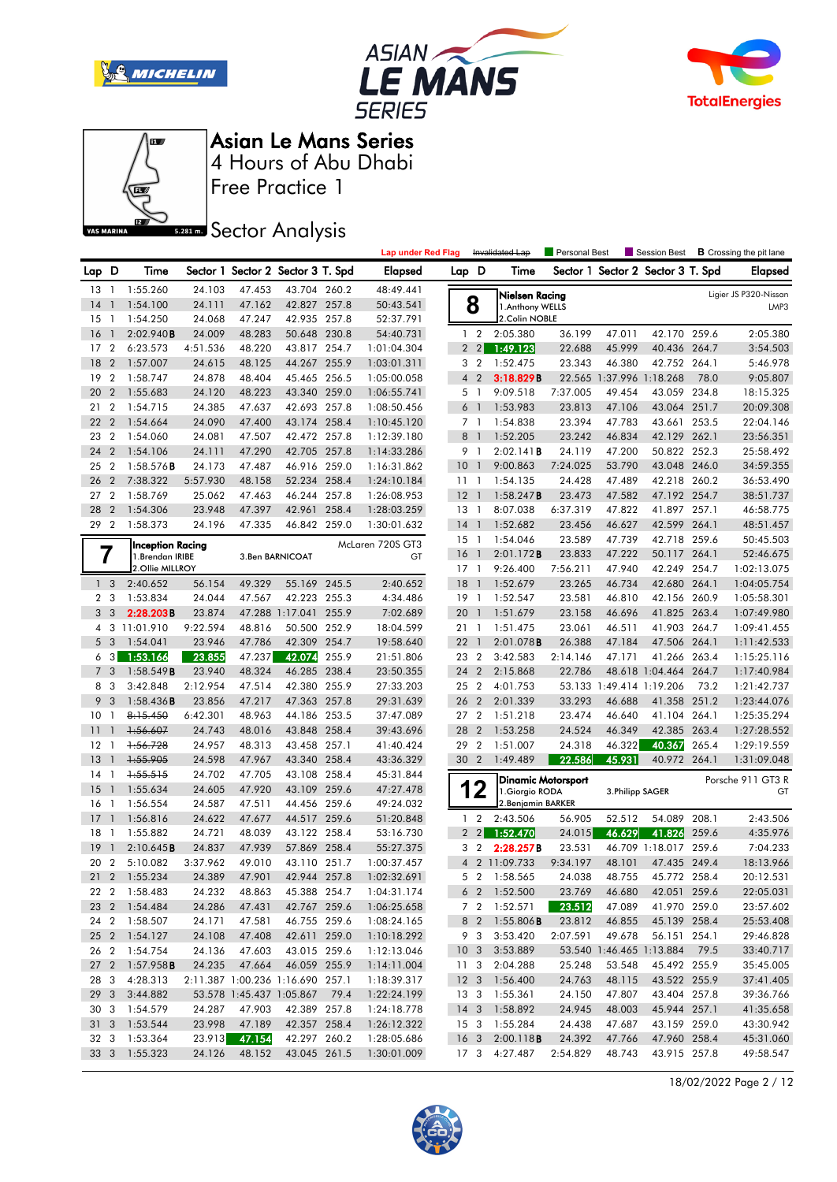







Free Practice 1 4 Hours of Abu Dhabi Asian Le Mans Series

**Sector Analysis** 

|                |                |                                             |          |        |                                   |       | <b>Lap under Red Flag</b> |                 |                 | Invalidated Lap                              | Personal Best |                          | Session Best                      |       | <b>B</b> Crossing the pit lane |
|----------------|----------------|---------------------------------------------|----------|--------|-----------------------------------|-------|---------------------------|-----------------|-----------------|----------------------------------------------|---------------|--------------------------|-----------------------------------|-------|--------------------------------|
| Lap D          |                | Time                                        |          |        | Sector 1 Sector 2 Sector 3 T. Spd |       | <b>Elapsed</b>            | Lap D           |                 | Time                                         |               |                          | Sector 1 Sector 2 Sector 3 T. Spd |       | <b>Elapsed</b>                 |
| $13-1$         |                | 1:55.260                                    | 24.103   | 47.453 | 43.704 260.2                      |       | 48:49.441                 |                 |                 | Nielsen Racing                               |               |                          |                                   |       | Ligier JS P320-Nissan          |
| 14             | $\mathbf{1}$   | 1:54.100                                    | 24.111   | 47.162 | 42.827 257.8                      |       | 50:43.541                 |                 | 8               | 1. Anthony WELLS                             |               |                          |                                   |       | LMP3                           |
| 15             | $\overline{1}$ | 1:54.250                                    | 24.068   | 47.247 | 42.935 257.8                      |       | 52:37.791                 |                 |                 | 2.Colin NOBLE                                |               |                          |                                   |       |                                |
| 16             |                | 2:02.940B                                   | 24.009   | 48.283 | 50.648 230.8                      |       | 54:40.731                 |                 | 1 <sub>2</sub>  | 2:05.380                                     | 36.199        | 47.011                   | 42.170 259.6                      |       | 2:05.380                       |
| 17             | $\overline{2}$ | 6:23.573                                    | 4:51.536 | 48.220 | 43.817 254.7                      |       | 1:01:04.304               |                 | 2 <sub>2</sub>  | 1:49.123                                     | 22.688        | 45.999                   | 40.436 264.7                      |       | 3:54.503                       |
| 18             | $\overline{2}$ | 1:57.007                                    | 24.615   | 48.125 | 44.267 255.9                      |       | 1:03:01.311               |                 | 3 <sub>2</sub>  | 1:52.475                                     | 23.343        | 46.380                   | 42.752 264.1                      |       | 5:46.978                       |
| 19             | $\overline{2}$ | 1:58.747                                    | 24.878   | 48.404 | 45.465 256.5                      |       | 1:05:00.058               | $\overline{4}$  | $\overline{2}$  | 3:18.829B                                    |               | 22.565 1:37.996 1:18.268 |                                   | 78.0  | 9:05.807                       |
| 20             | $\overline{2}$ | 1:55.683                                    | 24.120   | 48.223 | 43.340 259.0                      |       | 1:06:55.741               |                 | 5 1             | 9:09.518                                     | 7:37.005      | 49.454                   | 43.059 234.8                      |       | 18:15.325                      |
| 21             | $\overline{2}$ | 1:54.715                                    | 24.385   | 47.637 | 42.693 257.8                      |       | 1:08:50.456               |                 | 6 <sup>1</sup>  | 1:53.983                                     | 23.813        | 47.106                   | 43.064 251.7                      |       | 20:09.308                      |
| 22             | $\overline{2}$ | 1:54.664                                    | 24.090   | 47.400 | 43.174 258.4                      |       | 1:10:45.120               |                 | 7 1             | 1:54.838                                     | 23.394        | 47.783                   | 43.661                            | 253.5 | 22:04.146                      |
| 23             | $\overline{2}$ | 1:54.060                                    | 24.081   | 47.507 | 42.472                            | 257.8 | 1:12:39.180               | 8               | $\overline{1}$  | 1:52.205                                     | 23.242        | 46.834                   | 42.129                            | 262.1 | 23:56.351                      |
| 24             | $\overline{2}$ | 1:54.106                                    | 24.111   | 47.290 | 42.705 257.8                      |       | 1:14:33.286               |                 | 9 1             | 2:02.141B                                    | 24.119        | 47.200                   | 50.822 252.3                      |       | 25:58.492                      |
| 25             | $\overline{2}$ | 1:58.576B                                   | 24.173   | 47.487 | 46.916 259.0                      |       | 1:16:31.862               | 10 <sup>°</sup> | $\overline{1}$  | 9:00.863                                     | 7:24.025      | 53.790                   | 43.048 246.0                      |       | 34:59.355                      |
| 26             | $\overline{2}$ | 7:38.322                                    | 5:57.930 | 48.158 | 52.234 258.4                      |       | 1:24:10.184               | 11 <sub>1</sub> |                 | 1:54.135                                     | 24.428        | 47.489                   | 42.218 260.2                      |       | 36:53.490                      |
| 27             | $\overline{2}$ | 1:58.769                                    | 25.062   | 47.463 | 46.244                            | 257.8 | 1:26:08.953               | 12              | $\overline{1}$  | 1:58.247B                                    | 23.473        | 47.582                   | 47.192 254.7                      |       | 38:51.737                      |
| 28             | $\overline{2}$ | 1:54.306                                    | 23.948   | 47.397 | 42.961                            | 258.4 | 1:28:03.259               | 13              | $\overline{1}$  | 8:07.038                                     | 6:37.319      | 47.822                   | 41.897 257.1                      |       | 46:58.775                      |
| 29 2           |                | 1:58.373                                    | 24.196   | 47.335 | 46.842 259.0                      |       | 1:30:01.632               | $14-1$          |                 | 1:52.682                                     | 23.456        | 46.627                   | 42.599 264.1                      |       | 48:51.457                      |
|                |                |                                             |          |        |                                   |       |                           | 15              | $\overline{1}$  | 1:54.046                                     | 23.589        | 47.739                   | 42.718 259.6                      |       | 50:45.503                      |
|                | 7              | <b>Inception Racing</b><br>1. Brendan IRIBE |          |        | 3.Ben BARNICOAT                   |       | McLaren 720S GT3<br>GT    | 16              | $\mathbf{1}$    | 2:01.172B                                    | 23.833        | 47.222                   | 50.117 264.1                      |       | 52:46.675                      |
|                |                | 2.Ollie MILLROY                             |          |        |                                   |       |                           | $17-1$          |                 | 9:26.400                                     | 7:56.211      | 47.940                   | 42.249 254.7                      |       | 1:02:13.075                    |
|                | 1 <sub>3</sub> | 2:40.652                                    | 56.154   | 49.329 | 55.169 245.5                      |       | 2:40.652                  | 18              | $\mathbf{1}$    | 1:52.679                                     | 23.265        | 46.734                   | 42.680 264.1                      |       | 1:04:05.754                    |
|                | 2 <sub>3</sub> | 1:53.834                                    | 24.044   | 47.567 | 42.223                            | 255.3 | 4:34.486                  | 19              | $\overline{1}$  | 1:52.547                                     | 23.581        | 46.810                   | 42.156                            | 260.9 | 1:05:58.301                    |
| 3 <sup>1</sup> | 3              | 2:28.203B                                   | 23.874   |        | 47.288 1:17.041 255.9             |       | 7:02.689                  | 20              | 1               | 1:51.679                                     | 23.158        | 46.696                   | 41.825 263.4                      |       | 1:07:49.980                    |
|                |                | 4 3 11:01.910                               | 9:22.594 | 48.816 | 50.500 252.9                      |       | 18:04.599                 | 21 1            |                 | 1:51.475                                     | 23.061        | 46.511                   | 41.903 264.7                      |       | 1:09:41.455                    |
|                | 5 <sub>3</sub> | 1:54.041                                    | 23.946   | 47.786 | 42.309 254.7                      |       | 19:58.640                 | 221             |                 | 2:01.078B                                    | 26.388        | 47.184                   | 47.506 264.1                      |       | 1:11:42.533                    |
| 6              | 3              | 1:53.166                                    | 23.855   | 47.237 | 42.074                            | 255.9 | 21:51.806                 | 23              | $\overline{2}$  | 3:42.583                                     | 2:14.146      | 47.171                   | 41.266                            | 263.4 | 1:15:25.116                    |
| $\overline{7}$ | 3              | 1:58.549B                                   | 23.940   | 48.324 | 46.285 238.4                      |       | 23:50.355                 | 24              | $\overline{2}$  | 2:15.868                                     | 22.786        |                          | 48.618 1:04.464                   | 264.7 | 1:17:40.984                    |
| 8              | 3              | 3:42.848                                    | 2:12.954 | 47.514 | 42.380 255.9                      |       | 27:33.203                 | 25              | $\overline{2}$  | 4:01.753                                     |               | 53.133 1:49.414 1:19.206 |                                   | 73.2  | 1:21:42.737                    |
| 9              | $\overline{3}$ | 1:58.436B                                   | 23.856   | 47.217 | 47.363 257.8                      |       | 29:31.639                 | 26 2            |                 | 2:01.339                                     | 33.293        | 46.688                   | 41.358 251.2                      |       | 1:23:44.076                    |
| 10             | $\mathbf{1}$   | 8:15.450                                    | 6:42.301 | 48.963 | 44.186 253.5                      |       | 37:47.089                 | 27              | $\overline{2}$  | 1:51.218                                     | 23.474        | 46.640                   | 41.104                            | 264.1 | 1:25:35.294                    |
| 11             |                | 1:56.607                                    | 24.743   | 48.016 | 43.848 258.4                      |       | 39:43.696                 | 28              | $\overline{2}$  | 1:53.258                                     | 24.524        | 46.349                   | 42.385 263.4                      |       | 1:27:28.552                    |
| 12             | -1             | 1:56.728                                    | 24.957   | 48.313 | 43.458 257.1                      |       | 41:40.424                 | 29              | $\overline{2}$  | 1:51.007                                     | 24.318        | 46.322                   | 40.367                            | 265.4 | 1:29:19.559                    |
| 13             |                | 1:55.905                                    | 24.598   | 47.967 | 43.340 258.4                      |       | 43:36.329                 | 30 2            |                 | 1:49.489                                     | 22.586        | 45.931                   | 40.972 264.1                      |       | 1:31:09.048                    |
| 14             | -1             | 1:55.515                                    | 24.702   | 47.705 | 43.108                            | 258.4 | 45:31.844                 |                 |                 |                                              |               |                          |                                   |       |                                |
| 15             | $\mathbf{1}$   | 1:55.634                                    | 24.605   | 47.920 | 43.109 259.6                      |       | 47:27.478                 | 1               | $\mathbf 2$     | <b>Dinamic Motorsport</b><br>1. Giorgio RODA |               | 3. Philipp SAGER         |                                   |       | Porsche 911 GT3 R<br>GT        |
| 16             | -1             | 1:56.554                                    | 24.587   | 47.511 | 44.456 259.6                      |       | 49:24.032                 |                 |                 | 2. Benjamin BARKER                           |               |                          |                                   |       |                                |
| 17             | $\mathbf{1}$   | 1:56.816                                    | 24.622   | 47.677 | 44.517 259.6                      |       | 51:20.848                 |                 | 1 <sub>2</sub>  | 2:43.506                                     | 56.905        | 52.512                   | 54.089                            | 208.1 | 2:43.506                       |
| 18             | -1             | 1:55.882                                    | 24.721   | 48.039 | 43.122 258.4                      |       | 53:16.730                 |                 | 2 <sub>2</sub>  | 1:52.470                                     | 24.015        | 46.629                   | 41.826                            | 259.6 | 4:35.976                       |
| 19             |                | 2:10.645B                                   | 24.837   | 47.939 | 57.869 258.4                      |       | 55:27.375                 |                 | 3 <sub>2</sub>  | 2:28.257B                                    | 23.531        |                          | 46.709 1:18.017 259.6             |       | 7:04.233                       |
| 20 2           |                | 5:10.082                                    | 3:37.962 | 49.010 | 43.110 251.7                      |       | 1:00:37.457               |                 |                 | 4 2 11:09.733                                | 9:34.197      | 48.101                   | 47.435 249.4                      |       | 18:13.966                      |
|                |                | 21 2 1:55.234                               | 24.389   | 47.901 | 42.944 257.8                      |       | 1:02:32.691               |                 |                 | 5 2 1:58.565                                 | 24.038        | 48.755                   | 45.772 258.4                      |       | 20:12.531                      |
|                |                | 22 2 1:58.483                               | 24.232   | 48.863 | 45.388 254.7                      |       | 1:04:31.174               |                 |                 | 6 2 1:52.500                                 | 23.769        | 46.680                   | 42.051 259.6                      |       | 22:05.031                      |
|                |                | 23 2 1:54.484                               | 24.286   | 47.431 | 42.767 259.6                      |       | 1:06:25.658               |                 |                 | 7 2 1:52.571                                 | 23.512        | 47.089                   | 41.970 259.0                      |       | 23:57.602                      |
|                |                | 24 2 1:58.507                               | 24.171   | 47.581 | 46.755 259.6                      |       | 1:08:24.165               |                 |                 | 8 2 1:55.806B                                | 23.812        | 46.855                   | 45.139 258.4                      |       | 25:53.408                      |
|                |                | 25 2 1:54.127                               | 24.108   | 47.408 | 42.611 259.0                      |       | 1:10:18.292               |                 | 9 3             | 3:53.420                                     | 2:07.591      | 49.678                   | 56.151 254.1                      |       | 29:46.828                      |
|                |                | 26 2 1:54.754                               | 24.136   | 47.603 | 43.015 259.6                      |       | 1:12:13.046               | 10 <sub>3</sub> |                 | 3:53.889                                     |               |                          | 53.540 1:46.465 1:13.884 79.5     |       | 33:40.717                      |
|                |                | 27 2 1:57.958B                              | 24.235   | 47.664 | 46.059 255.9                      |       | 1:14:11.004               |                 | 11 <sub>3</sub> | 2:04.288                                     | 25.248        | 53.548                   | 45.492 255.9                      |       | 35:45.005                      |
| 28 3           |                | 4:28.313                                    |          |        | 2:11.387 1:00.236 1:16.690 257.1  |       | 1:18:39.317               |                 |                 | 12 3 1:56.400                                | 24.763        | 48.115                   | 43.522 255.9                      |       | 37:41.405                      |
|                |                | 29 3 3:44.882                               |          |        | 53.578 1:45.437 1:05.867          | 79.4  | 1:22:24.199               |                 | 13 3            | 1:55.361                                     | 24.150        | 47.807                   | 43.404 257.8                      |       | 39:36.766                      |
| 30 3           |                | 1:54.579                                    | 24.287   | 47.903 | 42.389 257.8                      |       | 1:24:18.778               | 14 3            |                 | 1:58.892                                     | 24.945        | 48.003                   | 45.944 257.1                      |       | 41:35.658                      |
| 31 3           |                | 1:53.544                                    | 23.998   | 47.189 | 42.357 258.4                      |       | 1:26:12.322               |                 |                 | 15 3 1:55.284                                | 24.438        | 47.687                   | 43.159 259.0                      |       | 43:30.942                      |
| 32 3           |                | 1:53.364                                    | 23.913   | 47.154 | 42.297 260.2                      |       | 1:28:05.686               |                 |                 | 16 3 2:00.118 <b>B</b>                       | 24.392        | 47.766                   | 47.960 258.4                      |       | 45:31.060                      |
|                |                | 33 3 1:55.323                               | 24.126   | 48.152 | 43.045 261.5                      |       | 1:30:01.009               |                 |                 | 17 3 4:27.487                                | 2:54.829      | 48.743                   | 43.915 257.8                      |       | 49:58.547                      |

18/02/2022 Page 2 / 12

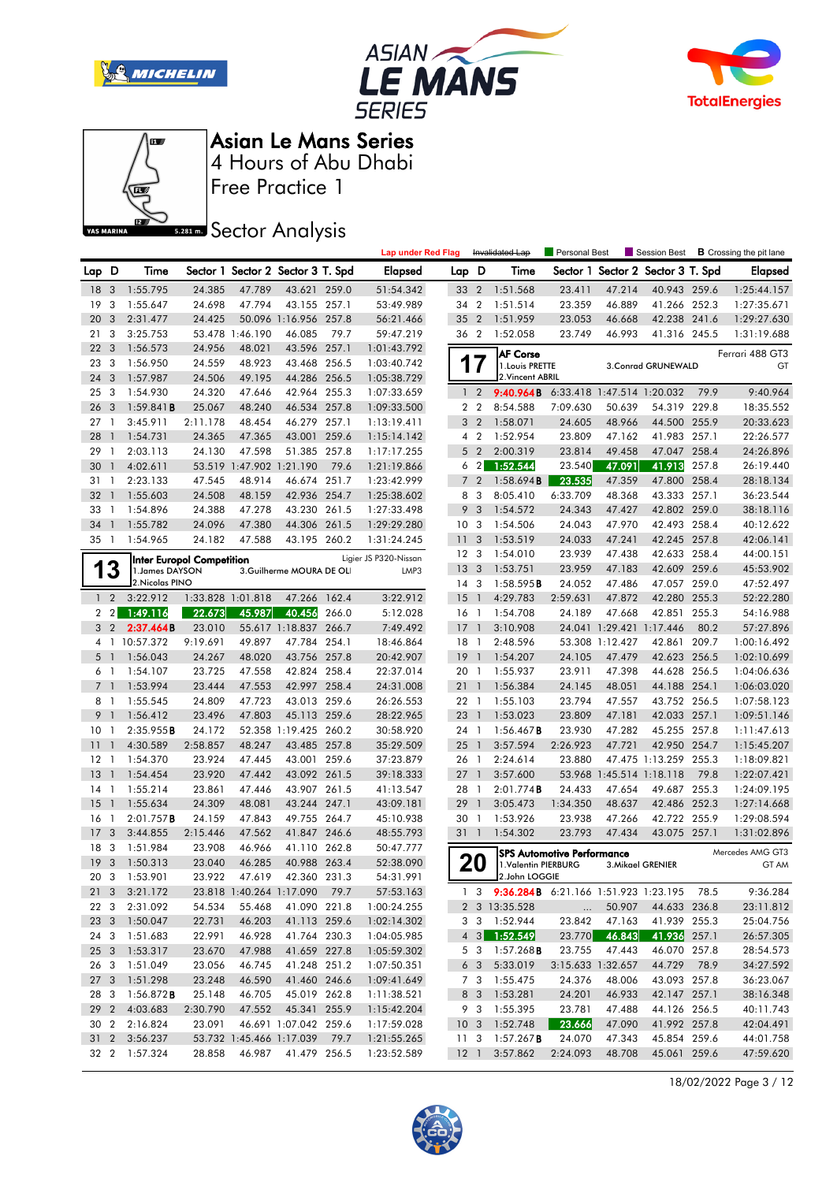







Free Practice 1

**Sector Analysis** 

|                 |                          |                            |                                  |                          |                                       |       | <b>Lap under Red Flag</b> |                 |                                  | Invalidated Lap                               | Personal Best              |                                             | Session Best                      |       | <b>B</b> Crossing the pit lane |
|-----------------|--------------------------|----------------------------|----------------------------------|--------------------------|---------------------------------------|-------|---------------------------|-----------------|----------------------------------|-----------------------------------------------|----------------------------|---------------------------------------------|-----------------------------------|-------|--------------------------------|
| Lap D           |                          | Time                       |                                  |                          | Sector 1 Sector 2 Sector 3 T. Spd     |       | Elapsed                   | Lap D           |                                  | Time                                          |                            |                                             | Sector 1 Sector 2 Sector 3 T. Spd |       | Elapsed                        |
| 18 <sup>3</sup> |                          | 1:55.795                   | 24.385                           | 47.789                   | 43.621 259.0                          |       | 51:54.342                 | 33 2            |                                  | 1:51.568                                      | 23.411                     | 47.214                                      | 40.943 259.6                      |       | 1:25:44.157                    |
| 19              | 3                        | 1:55.647                   | 24.698                           | 47.794                   | 43.155 257.1                          |       | 53:49.989                 | 34 2            |                                  | 1:51.514                                      | 23.359                     | 46.889                                      | 41.266 252.3                      |       | 1:27:35.671                    |
| 20              | 3                        | 2:31.477                   | 24.425                           |                          | 50.096 1:16.956 257.8                 |       | 56:21.466                 | 35 2            |                                  | 1:51.959                                      | 23.053                     | 46.668                                      | 42.238 241.6                      |       | 1:29:27.630                    |
| 21              | 3                        | 3:25.753                   |                                  | 53.478 1:46.190          | 46.085                                | 79.7  | 59:47.219                 | 36 2            |                                  | 1:52.058                                      | 23.749                     | 46.993                                      | 41.316 245.5                      |       | 1:31:19.688                    |
| 22              | $\overline{\mathbf{3}}$  | 1:56.573                   | 24.956                           | 48.021                   | 43.596 257.1                          |       | 1:01:43.792               |                 |                                  | <b>AF Corse</b>                               |                            |                                             |                                   |       | Ferrari 488 GT3                |
| 23              | 3                        | 1:56.950                   | 24.559                           | 48.923                   | 43.468 256.5                          |       | 1:03:40.742               |                 | 17                               | 1. Louis PRETTE                               |                            |                                             | 3. Conrad GRUNEWALD               |       | GT                             |
| 24              | 3                        | 1:57.987                   | 24.506                           | 49.195                   | 44.286 256.5                          |       | 1:05:38.729               |                 |                                  | 2. Vincent ABRIL                              |                            |                                             |                                   |       |                                |
| 25              | $\overline{\mathbf{3}}$  | 1:54.930                   | 24.320                           | 47.646                   | 42.964 255.3                          |       | 1:07:33.659               |                 | 1 <sub>2</sub>                   | 9:40.964B                                     | 6:33.418 1:47.514 1:20.032 |                                             |                                   | 79.9  | 9:40.964                       |
| 26              | $\overline{3}$           | 1:59.841B                  | 25.067                           | 48.240                   | 46.534 257.8                          |       | 1:09:33.500               |                 | 2 <sub>2</sub>                   | 8:54.588                                      | 7:09.630                   | 50.639                                      | 54.319 229.8                      |       | 18:35.552                      |
| 27              | $\mathbf{1}$             | 3:45.911                   | 2:11.178                         | 48.454                   | 46.279 257.1                          |       | 1:13:19.411               |                 | 3 <sub>2</sub>                   | 1:58.071                                      | 24.605                     | 48.966                                      | 44.500 255.9                      |       | 20:33.623                      |
| 28              | $\mathbf{1}$             | 1:54.731                   | 24.365                           | 47.365                   | 43.001                                | 259.6 | 1:15:14.142               |                 | 4 <sup>2</sup>                   | 1:52.954                                      | 23.809                     | 47.162                                      | 41.983 257.1                      |       | 22:26.577                      |
| 29              | -1                       | 2:03.113                   | 24.130                           | 47.598                   | 51.385 257.8                          |       | 1:17:17.255               | 5               | $\overline{2}$                   | 2:00.319                                      | 23.814                     | 49.458                                      | 47.047 258.4                      |       | 24:26.896                      |
| 30              | $\mathbf{1}$             | 4:02.611                   |                                  | 53.519 1:47.902 1:21.190 |                                       | 79.6  | 1:21:19.866               |                 | 6 <sub>2</sub>                   | 1:52.544                                      | 23.540                     | 47.091                                      | 41.913                            | 257.8 | 26:19.440                      |
| 31              | $\mathbf{1}$             | 2:23.133                   | 47.545                           | 48.914                   | 46.674 251.7                          |       | 1:23:42.999               | $\overline{7}$  | $\overline{2}$                   | 1:58.694B                                     | 23.535                     | 47.359                                      | 47.800 258.4                      |       | 28:18.134                      |
| 32              | $\overline{1}$           | 1:55.603                   | 24.508                           | 48.159                   | 42.936 254.7                          |       | 1:25:38.602               | 8               | 3                                | 8:05.410                                      | 6:33.709                   | 48.368                                      | 43.333 257.1                      |       | 36:23.544                      |
| 33              | $\overline{1}$           | 1:54.896                   | 24.388                           | 47.278                   | 43.230 261.5                          |       | 1:27:33.498               | 9               | 3                                | 1:54.572                                      | 24.343                     | 47.427                                      | 42.802 259.0                      |       | 38:18.116                      |
| 34              | $\overline{1}$           | 1:55.782                   | 24.096                           | 47.380                   | 44.306 261.5                          |       | 1:29:29.280               | 10 <sub>3</sub> |                                  | 1:54.506                                      | 24.043                     | 47.970                                      | 42.493 258.4                      |       | 40:12.622                      |
| 35              | $\overline{1}$           | 1:54.965                   | 24.182                           | 47.588                   | 43.195 260.2                          |       | 1:31:24.245               | 11              | 3                                | 1:53.519                                      | 24.033                     | 47.241                                      | 42.245 257.8                      |       | 42:06.141                      |
|                 |                          |                            | <b>Inter Europol Competition</b> |                          |                                       |       | Ligier JS P320-Nissan     | 12 <sup>3</sup> |                                  | 1:54.010                                      | 23.939                     | 47.438                                      | 42.633 258.4                      |       | 44:00.151                      |
| 1               | 3                        | 1. James DAYSON            |                                  |                          | 3.Guilherme MOURA DE OLI              |       | LMP3                      | 13              | $\overline{\mathbf{3}}$          | 1:53.751                                      | 23.959                     | 47.183                                      | 42.609 259.6<br>47.057 259.0      |       | 45:53.902                      |
|                 |                          | 2. Nicolas PINO            |                                  |                          | 47.266 162.4                          |       |                           | 14 <sup>3</sup> |                                  | 1:58.595B                                     | 24.052                     | 47.486<br>47.872                            |                                   |       | 47:52.497                      |
|                 | $1\quad 2$               | 3:22.912                   |                                  | 1:33.828 1:01.818        | 40.456                                | 266.0 | 3:22.912                  | 15              | $\overline{1}$<br>$\overline{1}$ | 4:29.783                                      | 2:59.631<br>24.189         | 47.668                                      | 42.280 255.3<br>42.851 255.3      |       | 52:22.280                      |
| $\mathbf{2}$    | $\overline{2}$           | 1:49.116                   | 22.673                           | 45.987                   |                                       |       | 5:12.028                  | 16              |                                  | 1:54.708                                      |                            |                                             |                                   |       | 54:16.988                      |
|                 | 3 <sub>2</sub>           | 2:37.464B<br>4 1 10:57.372 | 23.010<br>9:19.691               | 49.897                   | 55.617 1:18.837 266.7<br>47.784 254.1 |       | 7:49.492<br>18:46.864     | $17-1$<br>18 1  |                                  | 3:10.908<br>2:48.596                          |                            | 24.041 1:29.421 1:17.446<br>53.308 1:12.427 | 42.861 209.7                      | 80.2  | 57:27.896<br>1:00:16.492       |
| 5               | $\overline{1}$           | 1:56.043                   | 24.267                           | 48.020                   | 43.756 257.8                          |       | 20:42.907                 | 19              | $\overline{1}$                   | 1:54.207                                      | 24.105                     | 47.479                                      | 42.623 256.5                      |       | 1:02:10.699                    |
|                 | 6 <sub>1</sub>           | 1:54.107                   | 23.725                           | 47.558                   | 42.824 258.4                          |       | 22:37.014                 | 20              | $\overline{1}$                   | 1:55.937                                      | 23.911                     | 47.398                                      | 44.628 256.5                      |       | 1:04:06.636                    |
|                 | 7 <sup>1</sup>           | 1:53.994                   | 23.444                           | 47.553                   | 42.997 258.4                          |       | 24:31.008                 | 211             |                                  | 1:56.384                                      | 24.145                     | 48.051                                      | 44.188 254.1                      |       | 1:06:03.020                    |
|                 | 8 <sub>1</sub>           | 1:55.545                   | 24.809                           | 47.723                   | 43.013 259.6                          |       | 26:26.553                 | 22 1            |                                  | 1:55.103                                      | 23.794                     | 47.557                                      | 43.752 256.5                      |       | 1:07:58.123                    |
| 9               | $\overline{\phantom{a}}$ | 1:56.412                   | 23.496                           | 47.803                   | 45.113 259.6                          |       | 28:22.965                 | 23              | $\overline{1}$                   | 1:53.023                                      | 23.809                     | 47.181                                      | 42.033 257.1                      |       | 1:09:51.146                    |
| 10              | -1                       | 2:35.955B                  | 24.172                           |                          | 52.358 1:19.425 260.2                 |       | 30:58.920                 | 24 1            |                                  | $1:56.467$ <b>B</b>                           | 23.930                     | 47.282                                      | 45.255 257.8                      |       | 1:11:47.613                    |
| 11              | $\overline{1}$           | 4:30.589                   | 2:58.857                         | 48.247                   | 43.485 257.8                          |       | 35:29.509                 | 25              | $\overline{1}$                   | 3:57.594                                      | 2:26.923                   | 47.721                                      | 42.950 254.7                      |       | 1:15:45.207                    |
| 12              | $\overline{1}$           | 1:54.370                   | 23.924                           | 47.445                   | 43.001 259.6                          |       | 37:23.879                 | 26 1            |                                  | 2:24.614                                      | 23.880                     |                                             | 47.475 1:13.259 255.3             |       | 1:18:09.821                    |
| 13              | $\overline{1}$           | 1:54.454                   | 23.920                           | 47.442                   | 43.092 261.5                          |       | 39:18.333                 | 27              | $\overline{1}$                   | 3:57.600                                      |                            | 53.968 1:45.514 1:18.118                    |                                   | 79.8  | 1:22:07.421                    |
| $14-1$          |                          | 1:55.214                   | 23.861                           | 47.446                   | 43.907 261.5                          |       | 41:13.547                 | 28 1            |                                  | 2:01.774B                                     | 24.433                     | 47.654                                      | 49.687 255.3                      |       | 1:24:09.195                    |
| 15              | $\overline{1}$           | 1:55.634                   | 24.309                           | 48.081                   | 43.244 247.1                          |       | 43:09.181                 | 29              | $\overline{1}$                   | 3:05.473                                      | 1:34.350                   | 48.637                                      | 42.486 252.3                      |       | 1:27:14.668                    |
| 16              | $\overline{1}$           | 2:01.757B                  | 24.159                           | 47.843                   | 49.755 264.7                          |       | 45:10.938                 | 30 1            |                                  | 1:53.926                                      | 23.938                     | 47.266                                      | 42.722 255.9                      |       | 1:29:08.594                    |
| 17              | 3                        | 3:44.855                   | 2:15.446                         | 47.562                   | 41.847 246.6                          |       | 48:55.793                 | 31 1            |                                  | 1:54.302                                      | 23.793                     | 47.434                                      | 43.075 257.1                      |       | 1:31:02.896                    |
| 18 3            |                          | 1:51.984                   | 23.908                           | 46.966                   | 41.110 262.8                          |       | 50:47.777                 |                 |                                  |                                               | SPS Automotive Performance |                                             |                                   |       | Mercedes AMG GT3               |
|                 |                          | 19 3 1:50.313              | 23.040                           | 46.285                   | 40.988 263.4                          |       | 52:38.090                 |                 | 20                               | 1.Valentin PIERBURG                           |                            |                                             | 3. Mikael GRENIER                 |       | GT AM                          |
|                 |                          | 20 3 1:53.901              |                                  |                          | 23.922 47.619 42.360 231.3            |       | 54:31.991                 |                 |                                  | $2$ .John LOGGIE                              |                            |                                             |                                   |       |                                |
|                 |                          | 21 3 3:21.172              |                                  |                          | 23.818 1:40.264 1:17.090 79.7         |       | 57:53.163                 |                 |                                  | 1 3 9:36.284B 6:21.166 1:51.923 1:23.195 78.5 |                            |                                             |                                   |       | 9:36.284                       |
|                 | 22 3                     | 2:31.092                   | 54.534                           | 55.468                   | 41.090 221.8                          |       | 1:00:24.255               |                 |                                  | 2 3 13:35.528                                 | $\cdots$                   | 50.907                                      | 44.633 236.8                      |       | 23:11.812                      |
|                 |                          | 23 3 1:50.047              | 22.731                           | 46.203                   | 41.113 259.6                          |       | 1:02:14.302               |                 |                                  | 3 3 1:52.944                                  | 23.842                     | 47.163                                      | 41.939 255.3                      |       | 25:04.756                      |
|                 |                          | 24 3 1:51.683              | 22.991                           | 46.928                   | 41.764 230.3                          |       | 1:04:05.985               |                 | $4 \quad 3$                      | 1:52.549                                      | 23.770                     | 46.843                                      | 41.936 257.1                      |       | 26:57.305                      |
|                 |                          | 25 3 1:53.317              | 23.670                           | 47.988                   | 41.659 227.8                          |       | 1:05:59.302               |                 | 5 3                              | 1:57.268 <b>B</b>                             | 23.755                     | 47.443                                      | 46.070 257.8                      |       | 28:54.573                      |
|                 |                          | 26 3 1:51.049              | 23.056                           | 46.745                   | 41.248 251.2                          |       | 1:07:50.351               |                 | 6 <sub>3</sub>                   | 5:33.019                                      | 3:15.633 1:32.657          |                                             | 44.729 78.9                       |       | 34:27.592                      |
|                 |                          | 27 3 1:51.298              | 23.248                           | 46.590                   | 41.460 246.6                          |       | 1:09:41.649               |                 |                                  | 7 3 1:55.475                                  | 24.376                     | 48.006                                      | 43.093 257.8                      |       | 36:23.067                      |
| 28 3            |                          | $1:56.872$ B               | 25.148                           | 46.705                   | 45.019 262.8                          |       | 1:11:38.521               |                 | 8 3                              | 1:53.281                                      | 24.201                     | 46.933                                      | 42.147 257.1                      |       | 38:16.348                      |
|                 | 29 <sub>2</sub>          | 4:03.683                   | 2:30.790                         | 47.552                   | 45.341 255.9                          |       | 1:15:42.204               |                 | 9 3                              | 1:55.395                                      | 23.781                     | 47.488                                      | 44.126 256.5                      |       | 40:11.743                      |
|                 |                          | 30 2 2:16.824              | 23.091                           |                          | 46.691 1:07.042 259.6                 |       | 1:17:59.028               | 10 <sub>3</sub> |                                  | 1:52.748                                      | 23.666                     | 47.090                                      | 41.992 257.8                      |       | 42:04.491                      |
|                 |                          | 31 2 3:56.237              |                                  |                          | 53.732 1:45.466 1:17.039 79.7         |       | 1:21:55.265               |                 |                                  | 11 3 1:57.267 <b>B</b>                        | 24.070                     | 47.343                                      | 45.854 259.6                      |       | 44:01.758                      |
|                 |                          | 32 2 1:57.324              | 28.858                           |                          | 46.987 41.479 256.5                   |       | 1:23:52.589               |                 |                                  | 12 1 3:57.862                                 | 2:24.093                   | 48.708                                      | 45.061 259.6                      |       | 47:59.620                      |

18/02/2022 Page 3 / 12

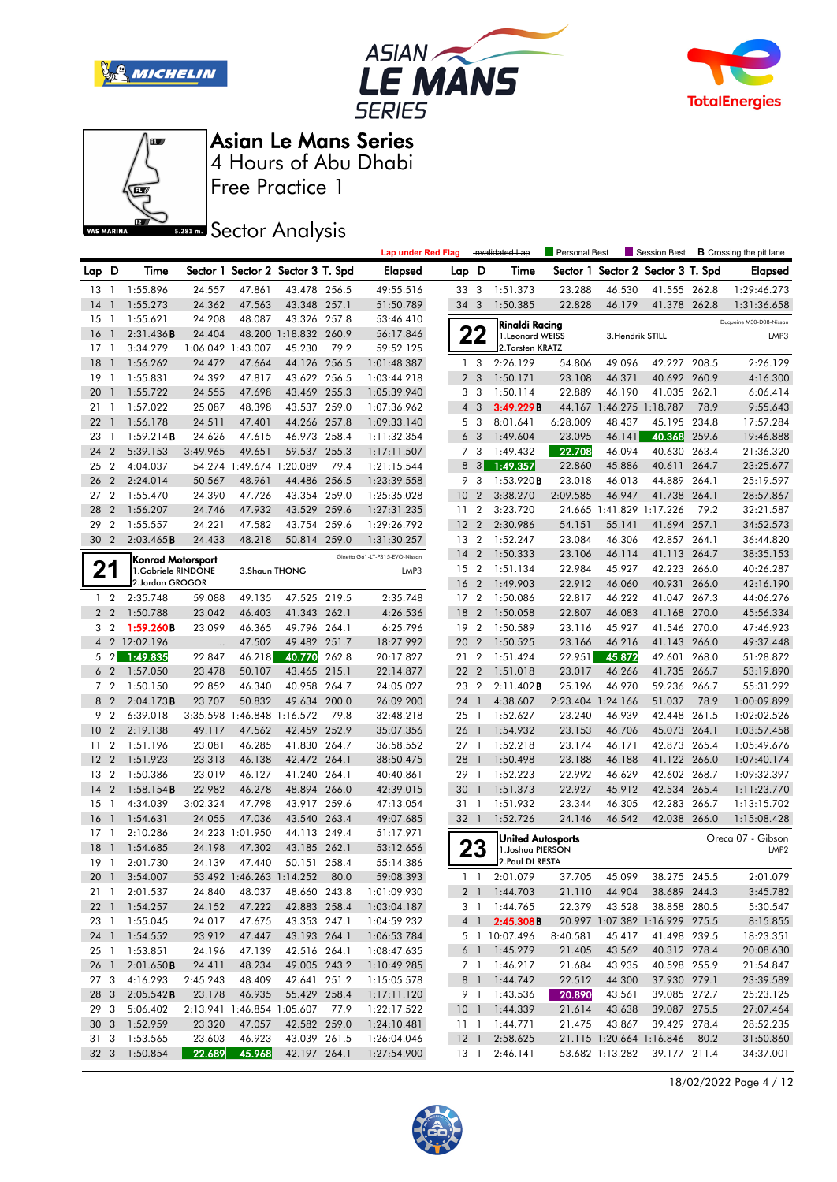







Free Practice 1

**Sector Analysis** 

|       |                 |                    |                   |                            |                                   |       | <b>Lap under Red Flag</b>      |                 |                         | Invalidated Lap             | Personal Best     |                          | Session Best                      |       | <b>B</b> Crossing the pit lane |
|-------|-----------------|--------------------|-------------------|----------------------------|-----------------------------------|-------|--------------------------------|-----------------|-------------------------|-----------------------------|-------------------|--------------------------|-----------------------------------|-------|--------------------------------|
| Lap D |                 | Time               |                   |                            | Sector 1 Sector 2 Sector 3 T. Spd |       | Elapsed                        | Lap D           |                         | Time                        |                   |                          | Sector 1 Sector 2 Sector 3 T. Spd |       | Elapsed                        |
|       | $13-1$          | 1:55.896           | 24.557            | 47.861                     | 43.478 256.5                      |       | 49:55.516                      | 33 3            |                         | 1:51.373                    | 23.288            | 46.530                   | 41.555 262.8                      |       | 1:29:46.273                    |
| 14    | $\mathbf{1}$    | 1:55.273           | 24.362            | 47.563                     | 43.348 257.1                      |       | 51:50.789                      | 34 3            |                         | 1:50.385                    | 22.828            | 46.179                   | 41.378 262.8                      |       | 1:31:36.658                    |
| 15    | $\overline{1}$  | 1:55.621           | 24.208            | 48.087                     | 43.326 257.8                      |       | 53:46.410                      |                 |                         | Rinaldi Racing              |                   |                          |                                   |       | Duqueine M30-D08-Nissan        |
| 16    |                 | 2:31.436B          | 24.404            |                            | 48.200 1:18.832 260.9             |       | 56:17.846                      |                 | 22                      | 1.Leonard WEISS             |                   | 3. Hendrik STILL         |                                   |       | LMP3                           |
| 17    | $\overline{1}$  | 3:34.279           | 1:06.042 1:43.007 |                            | 45.230                            | 79.2  | 59:52.125                      |                 |                         | 2.Torsten KRATZ             |                   |                          |                                   |       |                                |
| 18    | $\mathbf{1}$    | 1:56.262           | 24.472            | 47.664                     | 44.126 256.5                      |       | 1:01:48.387                    | $\mathbf{1}$    | -3                      | 2:26.129                    | 54.806            | 49.096                   | 42.227 208.5                      |       | 2:26.129                       |
| 19    | $\mathbf{1}$    | 1:55.831           | 24.392            | 47.817                     | 43.622 256.5                      |       | 1:03:44.218                    |                 | 2 <sub>3</sub>          | 1:50.171                    | 23.108            | 46.371                   | 40.692 260.9                      |       | 4:16.300                       |
| 20    |                 | 1:55.722           | 24.555            | 47.698                     | 43.469 255.3                      |       | 1:05:39.940                    |                 | 3 <sub>3</sub>          | 1:50.114                    | 22.889            | 46.190                   | 41.035 262.1                      |       | 6:06.414                       |
| 21    | $\overline{1}$  | 1:57.022           | 25.087            | 48.398                     | 43.537 259.0                      |       | 1:07:36.962                    | $\overline{4}$  | $\overline{\mathbf{3}}$ | 3:49.229B                   |                   | 44.167 1:46.275 1:18.787 |                                   | 78.9  | 9:55.643                       |
| 22    | $\mathbf{1}$    | 1:56.178           | 24.511            | 47.401                     | 44.266 257.8                      |       | 1:09:33.140                    |                 | 5 <sub>3</sub>          | 8:01.641                    | 6:28.009          | 48.437                   | 45.195 234.8                      |       | 17:57.284                      |
| 23    | $\mathbf{1}$    | 1:59.214B          | 24.626            | 47.615                     | 46.973 258.4                      |       | 1:11:32.354                    | 6               | $\overline{3}$          | 1:49.604                    | 23.095            | 46.141                   | 40.368                            | 259.6 | 19:46.888                      |
| 24    | $\overline{2}$  | 5:39.153           | 3:49.965          | 49.651                     | 59.537                            | 255.3 | 1:17:11.507                    |                 | 7 <sub>3</sub>          | 1:49.432                    | 22.708            | 46.094                   | 40.630 263.4                      |       | 21:36.320                      |
| 25    | $\overline{2}$  | 4:04.037           |                   | 54.274 1:49.674 1:20.089   |                                   | 79.4  | 1:21:15.544                    | 8               | $\overline{\mathbf{3}}$ | 1:49.357                    | 22.860            | 45.886                   | 40.611                            | 264.7 | 23:25.677                      |
| 26    | $\overline{2}$  | 2:24.014           | 50.567            | 48.961                     | 44.486                            | 256.5 | 1:23:39.558                    | 9               | 3                       | 1:53.920B                   | 23.018            | 46.013                   | 44.889 264.1                      |       | 25:19.597                      |
| 27    | $\overline{2}$  | 1:55.470           | 24.390            | 47.726                     | 43.354                            | 259.0 | 1:25:35.028                    | 10              | $\overline{2}$          | 3:38.270                    | 2:09.585          | 46.947                   | 41.738 264.1                      |       | 28:57.867                      |
| 28    | $\overline{2}$  | 1:56.207           | 24.746            | 47.932                     | 43.529 259.6                      |       | 1:27:31.235                    | 11              | $\overline{2}$          | 3:23.720                    |                   | 24.665 1:41.829 1:17.226 |                                   | 79.2  | 32:21.587                      |
| 29    | $\overline{2}$  | 1:55.557           | 24.221            | 47.582                     | 43.754 259.6                      |       | 1:29:26.792                    | 12 <sub>2</sub> |                         | 2:30.986                    | 54.151            | 55.141                   | 41.694 257.1                      |       | 34:52.573                      |
| 30    | $\overline{2}$  | 2:03.465B          | 24.433            | 48.218                     | 50.814 259.0                      |       | 1:31:30.257                    | 13 2            |                         | 1:52.247                    | 23.084            | 46.306                   | 42.857 264.1                      |       | 36:44.820                      |
|       |                 | Konrad Motorsport  |                   |                            |                                   |       | Ginetta G61-LT-P315-EVO-Nissan | 14              | $\overline{2}$          | 1:50.333                    | 23.106            | 46.114                   | 41.113 264.7                      |       | 38:35.153                      |
|       | 21              | 1.Gabriele RINDONE |                   | 3. Shaun THONG             |                                   |       | LMP3                           | 15 2            |                         | 1:51.134                    | 22.984            | 45.927                   | 42.223 266.0                      |       | 40:26.287                      |
|       |                 | 2.Jordan GROGOR    |                   |                            |                                   |       |                                | 16              | $\overline{2}$          | 1:49.903                    | 22.912            | 46.060                   | 40.931                            | 266.0 | 42:16.190                      |
|       | 1 <sub>2</sub>  | 2:35.748           | 59.088            | 49.135                     | 47.525 219.5                      |       | 2:35.748                       | 17              | $\overline{2}$          | 1:50.086                    | 22.817            | 46.222                   | 41.047 267.3                      |       | 44:06.276                      |
|       | 2 <sub>2</sub>  | 1:50.788           | 23.042            | 46.403                     | 41.343 262.1                      |       | 4:26.536                       | 18              | $\overline{2}$          | 1:50.058                    | 22.807            | 46.083                   | 41.168 270.0                      |       | 45:56.334                      |
|       | 3 <sub>2</sub>  | 1:59.260B          | 23.099            | 46.365                     | 49.796 264.1                      |       | 6:25.796                       | 19 2            |                         | 1:50.589                    | 23.116            | 45.927                   | 41.546 270.0                      |       | 47:46.923                      |
|       |                 | 4 2 12:02.196      |                   | 47.502                     | 49.482 251.7                      |       | 18:27.992                      | 20 2            |                         | 1:50.525                    | 23.166            | 46.216                   | 41.143 266.0                      |       | 49:37.448                      |
| 5     | $\overline{2}$  | 1:49.835           | 22.847            | 46.218                     | 40.770                            | 262.8 | 20:17.827                      | 21 2            |                         | 1:51.424                    | 22.951            | 45.872                   | 42.601                            | 268.0 | 51:28.872                      |
|       | 6 <sub>2</sub>  | 1:57.050           | 23.478            | 50.107                     | 43.465 215.1                      |       | 22:14.877                      | 22 2            |                         | 1:51.018                    | 23.017            | 46.266                   | 41.735 266.7                      |       | 53:19.890                      |
|       | 7 <sub>2</sub>  | 1:50.150           | 22.852            | 46.340                     | 40.958 264.7                      |       | 24:05.027                      | 23 2            |                         | 2:11.402B                   | 25.196            | 46.970                   | 59.236 266.7                      |       | 55:31.292                      |
| 8     | $\overline{2}$  | 2:04.173B          | 23.707            | 50.832                     | 49.634 200.0                      |       | 26:09.200                      | 24 1            |                         | 4:38.607                    | 2:23.404 1:24.166 |                          | 51.037                            | 78.9  | 1:00:09.899                    |
| 9     | $\overline{2}$  | 6:39.018           |                   | 3:35.598 1:46.848 1:16.572 |                                   | 79.8  | 32:48.218                      | 25              | $\overline{1}$          | 1:52.627                    | 23.240            | 46.939                   | 42.448                            | 261.5 | 1:02:02.526                    |
| 10    | $\overline{2}$  | 2:19.138           | 49.117            | 47.562                     | 42.459 252.9                      |       | 35:07.356                      | 26              | $\mathbf{1}$            | 1:54.932                    | 23.153            | 46.706                   | 45.073 264.1                      |       | 1:03:57.458                    |
| 11    | $\overline{2}$  | 1:51.196           | 23.081            | 46.285                     | 41.830 264.7                      |       | 36:58.552                      | 27 1            |                         | 1:52.218                    | 23.174            | 46.171                   | 42.873 265.4                      |       | 1:05:49.676                    |
| 12    | $\overline{2}$  | 1:51.923           | 23.313            | 46.138                     | 42.472 264.1                      |       | 38:50.475                      | 28              | $\overline{1}$          | 1:50.498                    | 23.188            | 46.188                   | 41.122 266.0                      |       | 1:07:40.174                    |
| 13    | $\overline{2}$  | 1:50.386           | 23.019            | 46.127                     | 41.240                            | 264.1 | 40:40.861                      | 29              | $\overline{1}$          | 1:52.223                    | 22.992            | 46.629                   | 42.602 268.7                      |       | 1:09:32.397                    |
| 14    | $\overline{2}$  | 1:58.154B          | 22.982            | 46.278                     | 48.894 266.0                      |       | 42:39.015                      | 30              | $\mathbf{1}$            | 1:51.373                    | 22.927            | 45.912                   | 42.534 265.4                      |       | 1:11:23.770                    |
| 15    | $\mathbf{1}$    | 4:34.039           | 3:02.324          | 47.798                     | 43.917 259.6                      |       | 47:13.054                      | 31 1            |                         | 1:51.932                    | 23.344            | 46.305                   | 42.283 266.7                      |       | 1:13:15.702                    |
| 16    | $\overline{1}$  | 1:54.631           | 24.055            | 47.036                     | 43.540 263.4                      |       | 49:07.685                      | 32 1            |                         | 1:52.726                    | 24.146            | 46.542                   | 42.038 266.0                      |       | 1:15:08.428                    |
| 17    | $\overline{1}$  | 2:10.286           |                   | 24.223 1:01.950            | 44.113 249.4                      |       | 51:17.971                      |                 |                         | United Autosports           |                   |                          |                                   |       | Oreca 07 - Gibson              |
| 18    |                 | 1:54.685           | 24.198            | 47.302                     | 43.185 262.1                      |       | 53:12.656                      |                 | 23                      | 1. Joshua PIERSON           |                   |                          |                                   |       | LMP <sub>2</sub>               |
|       | 19 1            | 2:01.730           | 24.139            | 47.440                     | 50.151 258.4                      |       | 55:14.386                      |                 |                         | 2. Paul DI RESTA            |                   |                          |                                   |       |                                |
|       |                 | 20 1 3:54.007      |                   |                            | 53.492 1:46.263 1:14.252 80.0     |       | 59:08.393                      |                 |                         | 1 1 2:01.079                |                   |                          | 37.705 45.099 38.275 245.5        |       | 2:01.079                       |
|       | 21 1            | 2:01.537           | 24.840            | 48.037                     | 48.660 243.8                      |       | 1:01:09.930                    |                 |                         | 2 1 1:44.703                | 21.110            | 44.904                   | 38.689 244.3                      |       | 3:45.782                       |
|       |                 | 22 1 1:54.257      | 24.152            | 47.222                     | 42.883 258.4                      |       | 1:03:04.187                    |                 |                         | 3 1 1:44.765                | 22.379            | 43.528                   | 38.858 280.5                      |       | 5:30.547                       |
|       |                 | 23 1 1:55.045      | 24.017            | 47.675                     | 43.353 247.1                      |       | 1:04:59.232                    |                 |                         | 4 1 2:45.308B               |                   |                          | 20.997 1:07.382 1:16.929 275.5    |       | 8:15.855                       |
|       |                 | 24 1 1:54.552      | 23.912            | 47.447                     | 43.193 264.1                      |       | 1:06:53.784                    |                 |                         | 5 1 10:07.496               | 8:40.581          | 45.417                   | 41.498 239.5                      |       | 18:23.351                      |
|       | 25 1            | 1:53.851           | 24.196            | 47.139                     | 42.516 264.1                      |       | 1:08:47.635                    |                 |                         | 6 1 1:45.279                | 21.405            | 43.562                   | 40.312 278.4                      |       | 20:08.630                      |
|       | 26 1            | 2:01.650B          | 24.411            | 48.234                     | 49.005 243.2                      |       | 1:10:49.285                    |                 |                         | 7 1 1:46.217                | 21.684            | 43.935                   | 40.598 255.9                      |       | 21:54.847                      |
|       | 27 3            | 4:16.293           | 2:45.243          | 48.409                     | 42.641 251.2                      |       | 1:15:05.578                    |                 |                         | 8 1 1:44.742                | 22.512            | 44.300                   | 37.930 279.1                      |       | 23:39.589                      |
|       | 28 3            | 2:05.542B          | 23.178            | 46.935                     | 55.429 258.4                      |       | 1:17:11.120                    |                 |                         | 9 1 1:43.536                | 20.890            | 43.561                   | 39.085 272.7                      |       | 25:23.125                      |
|       | 29 3            | 5:06.402           |                   |                            | 2:13.941 1:46.854 1:05.607 77.9   |       | 1:22:17.522                    |                 |                         | 10 1 1:44.339               | 21.614            | 43.638                   | 39.087 275.5                      |       | 27:07.464                      |
|       | 30 <sub>3</sub> | 1:52.959           | 23.320            | 47.057                     | 42.582 259.0                      |       | 1:24:10.481                    |                 |                         | $11 \quad 1 \quad 1:44.771$ | 21.475            | 43.867                   | 39.429 278.4                      |       | 28:52.235                      |
|       | 31 3            | 1:53.565           | 23.603            | 46.923                     | 43.039 261.5                      |       | 1:26:04.046                    |                 |                         | 12 1 2:58.625               |                   |                          | 21.115 1:20.664 1:16.846 80.2     |       | 31:50.860                      |
|       |                 | 32 3 1:50.854      | 22.689            | 45.968                     | 42.197 264.1                      |       | 1:27:54.900                    |                 |                         | 13 1 2:46.141               |                   | 53.682 1:13.282          | 39.177 211.4                      |       | 34:37.001                      |

18/02/2022 Page 4 / 12

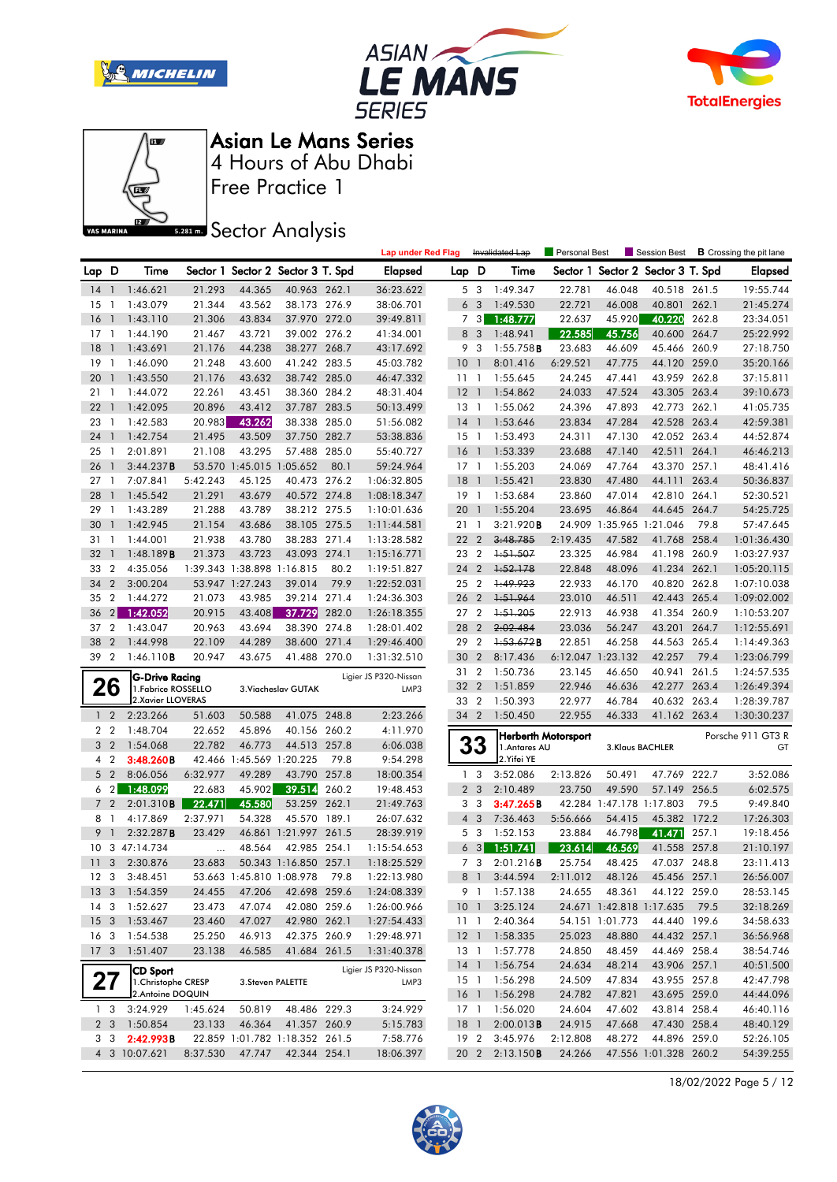







Free Practice 1 4 Hours of Abu Dhabi Asian Le Mans Series

**Sector Analysis** 

|                 |                |                     |          |                            |                                   |       | <b>Lap under Red Flag</b> |                 |                | Invalidated Lap | Personal Best       |                          |                                   |       | Session Best <b>B</b> Crossing the pit lane |
|-----------------|----------------|---------------------|----------|----------------------------|-----------------------------------|-------|---------------------------|-----------------|----------------|-----------------|---------------------|--------------------------|-----------------------------------|-------|---------------------------------------------|
| Lap D           |                | Time                |          |                            | Sector 1 Sector 2 Sector 3 T. Spd |       | <b>Elapsed</b>            | Lap D           |                | Time            |                     |                          | Sector 1 Sector 2 Sector 3 T. Spd |       | <b>Elapsed</b>                              |
| 14 1            |                | 1:46.621            | 21.293   | 44.365                     | 40.963 262.1                      |       | 36:23.622                 |                 | 5 3            | 1:49.347        | 22.781              | 46.048                   | 40.518 261.5                      |       | 19:55.744                                   |
| 15              | $\overline{1}$ | 1:43.079            | 21.344   | 43.562                     | 38.173 276.9                      |       | 38:06.701                 |                 | 6 <sub>3</sub> | 1:49.530        | 22.721              | 46.008                   | 40.801 262.1                      |       | 21:45.274                                   |
| 16              | $\overline{1}$ | 1:43.110            | 21.306   | 43.834                     | 37.970 272.0                      |       | 39:49.811                 |                 | 7 <sub>3</sub> | 1:48.777        | 22.637              | 45.920                   | 40.220                            | 262.8 | 23:34.051                                   |
| 17              | $\overline{1}$ | 1:44.190            | 21.467   | 43.721                     | 39.002 276.2                      |       | 41:34.001                 |                 | 8 3            | 1:48.941        | 22.585              | 45.756                   | 40.600 264.7                      |       | 25:22.992                                   |
| 18              | $\overline{1}$ | 1:43.691            | 21.176   | 44.238                     | 38.277 268.7                      |       | 43:17.692                 |                 | 9 3            | $1:55.758$ B    | 23.683              | 46.609                   | 45.466 260.9                      |       | 27:18.750                                   |
| 19              | $\overline{1}$ | 1:46.090            | 21.248   | 43.600                     | 41.242 283.5                      |       | 45:03.782                 | 10              | $\overline{1}$ | 8:01.416        | 6:29.521            | 47.775                   | 44.120 259.0                      |       | 35:20.166                                   |
| 20              | $\overline{1}$ | 1:43.550            | 21.176   | 43.632                     | 38.742 285.0                      |       | 46:47.332                 | 111             |                | 1:55.645        | 24.245              | 47.441                   | 43.959 262.8                      |       | 37:15.811                                   |
| 21 1            |                | 1:44.072            | 22.261   | 43.451                     | 38.360 284.2                      |       | 48:31.404                 | 12              | $\overline{1}$ | 1:54.862        | 24.033              | 47.524                   | 43.305 263.4                      |       | 39:10.673                                   |
| 22              | $\overline{1}$ | 1:42.095            | 20.896   | 43.412                     | 37.787 283.5                      |       | 50:13.499                 | $13-1$          |                | 1:55.062        | 24.396              | 47.893                   | 42.773 262.1                      |       | 41:05.735                                   |
| 23              | $\overline{1}$ | 1:42.583            | 20.983   | 43.262                     | 38.338 285.0                      |       | 51:56.082                 | $14-1$          |                | 1:53.646        | 23.834              | 47.284                   | 42.528 263.4                      |       | 42:59.381                                   |
| 24              | $\overline{1}$ | 1:42.754            | 21.495   | 43.509                     | 37.750 282.7                      |       | 53:38.836                 | $15-1$          |                | 1:53.493        | 24.311              | 47.130                   | 42.052 263.4                      |       | 44:52.874                                   |
| 25              | $\overline{1}$ | 2:01.891            | 21.108   | 43.295                     | 57.488 285.0                      |       | 55:40.727                 | 16              | $\overline{1}$ | 1:53.339        | 23.688              | 47.140                   | 42.511 264.1                      |       | 46:46.213                                   |
| 26              | $\mathbf{1}$   | 3:44.237B           |          | 53.570 1:45.015 1:05.652   |                                   | 80.1  | 59:24.964                 | $17-1$          |                | 1:55.203        | 24.069              | 47.764                   | 43.370 257.1                      |       | 48:41.416                                   |
| 27              | $\overline{1}$ | 7:07.841            | 5:42.243 | 45.125                     | 40.473 276.2                      |       | 1:06:32.805               | 18              | $\overline{1}$ | 1:55.421        | 23.830              | 47.480                   | 44.111                            | 263.4 | 50:36.837                                   |
| 28              | $\mathbf{1}$   | 1:45.542            | 21.291   | 43.679                     | 40.572 274.8                      |       | 1:08:18.347               | 19 1            |                | 1:53.684        | 23.860              | 47.014                   | 42.810 264.1                      |       | 52:30.521                                   |
| 29              | $\overline{1}$ | 1:43.289            | 21.288   | 43.789                     | 38.212 275.5                      |       | 1:10:01.636               | 20              | $\overline{1}$ | 1:55.204        | 23.695              | 46.864                   | 44.645 264.7                      |       | 54:25.725                                   |
| 30              | $\overline{1}$ | 1:42.945            | 21.154   | 43.686                     | 38.105 275.5                      |       | 1:11:44.581               | 21 1            |                | 3:21.920B       |                     | 24.909 1:35.965 1:21.046 |                                   | 79.8  | 57:47.645                                   |
| 31              | $\overline{1}$ | 1:44.001            | 21.938   | 43.780                     | 38.283 271.4                      |       | 1:13:28.582               | 22              | $\overline{2}$ | 3:48.785        | 2:19.435            | 47.582                   | 41.768 258.4                      |       | 1:01:36.430                                 |
| 32              | $\overline{1}$ | 1:48.189B           | 21.373   | 43.723                     | 43.093 274.1                      |       | 1:15:16.771               | 23 2            |                | 1:51.507        | 23.325              | 46.984                   | 41.198 260.9                      |       | 1:03:27.937                                 |
| 33 2            |                | 4:35.056            |          | 1:39.343 1:38.898 1:16.815 |                                   | 80.2  | 1:19:51.827               | 24              | $\overline{2}$ | 1:52.178        | 22.848              | 48.096                   | 41.234 262.1                      |       | 1:05:20.115                                 |
| 34              | $\overline{2}$ | 3:00.204            |          | 53.947 1:27.243            | 39.014                            | 79.9  | 1:22:52.031               | 25 2            |                | 1:49.923        | 22.933              | 46.170                   | 40.820 262.8                      |       | 1:07:10.038                                 |
| 35              | $\overline{2}$ | 1:44.272            | 21.073   | 43.985                     | 39.214                            | 271.4 | 1:24:36.303               | 26 2            |                | 1:51.964        | 23.010              | 46.511                   | 42.443 265.4                      |       | 1:09:02.002                                 |
| 36              | 2              | 1:42.052            | 20.915   | 43.408                     | 37.729                            | 282.0 | 1:26:18.355               | 27 2            |                | 1:51.205        | 22.913              | 46.938                   | 41.354 260.9                      |       | 1:10:53.207                                 |
| 37 2            |                | 1:43.047            | 20.963   | 43.694                     | 38.390 274.8                      |       | 1:28:01.402               | 28              | $\overline{2}$ | 2:02.484        | 23.036              | 56.247                   | 43.201 264.7                      |       | 1:12:55.691                                 |
| 38              | $\overline{2}$ | 1:44.998            | 22.109   | 44.289                     | 38.600                            | 271.4 | 1:29:46.400               | 29 2            |                | 1:53.672B       | 22.851              | 46.258                   | 44.563 265.4                      |       | 1:14:49.363                                 |
| 39 2            |                | 1:46.110B           | 20.947   | 43.675                     | 41.488 270.0                      |       | 1:31:32.510               | 30              | $\overline{2}$ | 8:17.436        |                     | 6:12.047 1:23.132        | 42.257                            | 79.4  | 1:23:06.799                                 |
|                 |                | G-Drive Racing      |          |                            |                                   |       | Ligier JS P320-Nissan     | 31 2            |                | 1:50.736        | 23.145              | 46.650                   | 40.941                            | 261.5 | 1:24:57.535                                 |
|                 | 26             | 1. Fabrice ROSSELLO |          |                            | 3. Viacheslav GUTAK               |       | LMP3                      | 32              | $\overline{2}$ | 1:51.859        | 22.946              | 46.636                   | 42.277 263.4                      |       | 1:26:49.394                                 |
|                 |                | 2. Xavier LLOVERAS  |          |                            |                                   |       |                           | 33 2            |                | 1:50.393        | 22.977              | 46.784                   | 40.632 263.4                      |       | 1:28:39.787                                 |
|                 | $1\quad2$      | 2:23.266            | 51.603   | 50.588                     | 41.075 248.8                      |       | 2:23.266                  | 34 2            |                | 1:50.450        | 22.955              | 46.333                   | 41.162 263.4                      |       | 1:30:30.237                                 |
|                 | 2 <sub>2</sub> | 1:48.704            | 22.652   | 45.896                     | 40.156 260.2                      |       | 4:11.970                  |                 |                |                 | Herberth Motorsport |                          |                                   |       | Porsche 911 GT3 R                           |
|                 | 3 <sub>2</sub> | 1:54.068            | 22.782   | 46.773                     | 44.513 257.8                      |       | 6:06.038                  |                 | 33             | 1. Antares AU   |                     |                          | 3.Klaus BACHLER                   |       | GT                                          |
|                 | 4 <sup>2</sup> | 3:48.260B           |          | 42.466 1:45.569 1:20.225   |                                   | 79.8  | 9:54.298                  |                 |                | 2. Yifei YE     |                     |                          |                                   |       |                                             |
|                 | 5 <sub>2</sub> | 8:06.056            | 6:32.977 | 49.289                     | 43.790 257.8                      |       | 18:00.354                 |                 | 1 <sub>3</sub> | 3:52.086        | 2:13.826            | 50.491                   | 47.769                            | 222.7 | 3:52.086                                    |
|                 | $6\quad2$      | 1:48.099            | 22.683   | 45.902                     | 39.514                            | 260.2 | 19:48.453                 |                 | 2 <sub>3</sub> | 2:10.489        | 23.750              | 49.590                   | 57.149 256.5                      |       | 6:02.575                                    |
|                 | 7 <sup>2</sup> | 2:01.310B           | 22.471   | 45.580                     | 53.259 262.1                      |       | 21:49.763                 |                 | 3 <sub>3</sub> | 3:47.265B       |                     | 42.284 1:47.178 1:17.803 |                                   | 79.5  | 9:49.840                                    |
| 8 1             |                | 4:17.869            | 2:37.971 | 54.328                     | 45.570 189.1                      |       | 26:07.632                 |                 | $4 \quad 3$    | 7:36.463        | 5:56.666            | 54.415                   | 45.382 172.2                      |       | 17:26.303                                   |
| 9               | $\overline{1}$ | 2:32.287B           | 23.429   |                            | 46.861 1:21.997 261.5             |       | 28:39.919                 |                 | 5 <sub>3</sub> | 1:52.153        | 23.884              | 46.798                   | 41.471                            | 257.1 | 19:18.456                                   |
|                 |                | 10 3 47:14.734      |          | 48.564                     | 42.985 254.1                      |       | 1:15:54.653               |                 | 6 <sub>3</sub> | 1:51.741        | 23.614              | 46.569                   | 41.558 257.8                      |       | 21:10.197                                   |
|                 |                | 11 3 2:30.876       | 23.683   |                            | 50.343 1:16.850 257.1             |       | 1:18:25.529               |                 | 7 3            | 2:01.216B       | 25.754              | 48.425                   | 47.037 248.8                      |       | 23:11.413                                   |
|                 |                | 12 3 3:48.451       |          |                            | 53.663 1:45.810 1:08.978 79.8     |       | 1:22:13.980               |                 |                | 8 1 3:44.594    | 2:11.012            | 48.126                   | 45.456 257.1                      |       | 26:56.007                                   |
| 13 <sup>3</sup> |                | 1:54.359            | 24.455   | 47.206                     | 42.698 259.6                      |       | 1:24:08.339               |                 |                | 9 1 1:57.138    | 24.655              | 48.361                   | 44.122 259.0                      |       | 28:53.145                                   |
| 14 3            |                | 1:52.627            | 23.473   | 47.074                     | 42.080 259.6                      |       | 1:26:00.966               | 10 <sub>1</sub> |                | 3:25.124        |                     | 24.671 1:42.818 1:17.635 |                                   | 79.5  | 32:18.269                                   |
| 15 <sub>3</sub> |                | 1:53.467            | 23.460   | 47.027                     | 42.980 262.1                      |       | 1:27:54.433               | 11 1            |                | 2:40.364        |                     | 54.151 1:01.773          | 44.440 199.6                      |       | 34:58.633                                   |
| 16 <sub>3</sub> |                | 1:54.538            | 25.250   | 46.913                     | 42.375 260.9                      |       | 1:29:48.971               |                 |                | 12 1 1:58.335   | 25.023              | 48.880                   | 44.432 257.1                      |       | 36:56.968                                   |
| 17 <sub>3</sub> |                | 1:51.407            | 23.138   | 46.585                     | 41.684 261.5                      |       | 1:31:40.378               |                 | 13 1           | 1:57.778        | 24.850              | 48.459                   | 44.469 258.4                      |       | 38:54.746                                   |
|                 |                | <b>CD Sport</b>     |          |                            |                                   |       | Ligier JS P320-Nissan     |                 |                | 14 1 1:56.754   | 24.634              | 48.214                   | 43.906 257.1                      |       | 40:51.500                                   |
|                 | 27             | 1. Christophe CRESP |          |                            | 3.Steven PALETTE                  |       | LMP3                      |                 |                | 15 1 1:56.298   | 24.509              | 47.834                   | 43.955 257.8                      |       | 42:47.798                                   |
|                 |                | 2. Antoine DOQUIN   |          |                            |                                   |       |                           |                 |                | 16 1 1:56.298   | 24.782              | 47.821                   | 43.695 259.0                      |       | 44:44.096                                   |
|                 | 1 <sub>3</sub> | 3:24.929            | 1:45.624 | 50.819                     | 48.486 229.3                      |       | 3:24.929                  |                 | 17 1           | 1:56.020        | 24.604              | 47.602                   | 43.814 258.4                      |       | 46:40.116                                   |
|                 | 2 <sub>3</sub> | 1:50.854            | 23.133   | 46.364                     | 41.357 260.9                      |       | 5:15.783                  | $18-1$          |                | 2:00.013B       | 24.915              | 47.668                   | 47.430 258.4                      |       | 48:40.129                                   |
|                 | 3 3            | 2:42.993B           |          |                            | 22.859 1:01.782 1:18.352 261.5    |       | 7:58.776                  | 19 <sup>2</sup> |                | 3:45.976        | 2:12.808            | 48.272                   | 44.896 259.0                      |       | 52:26.105                                   |
|                 |                | 4 3 10:07.621       | 8:37.530 | 47.747                     | 42.344 254.1                      |       | 18:06.397                 |                 |                | 20 2 2:13.150B  | 24.266              |                          | 47.556 1:01.328 260.2             |       | 54:39.255                                   |

18/02/2022 Page 5 / 12

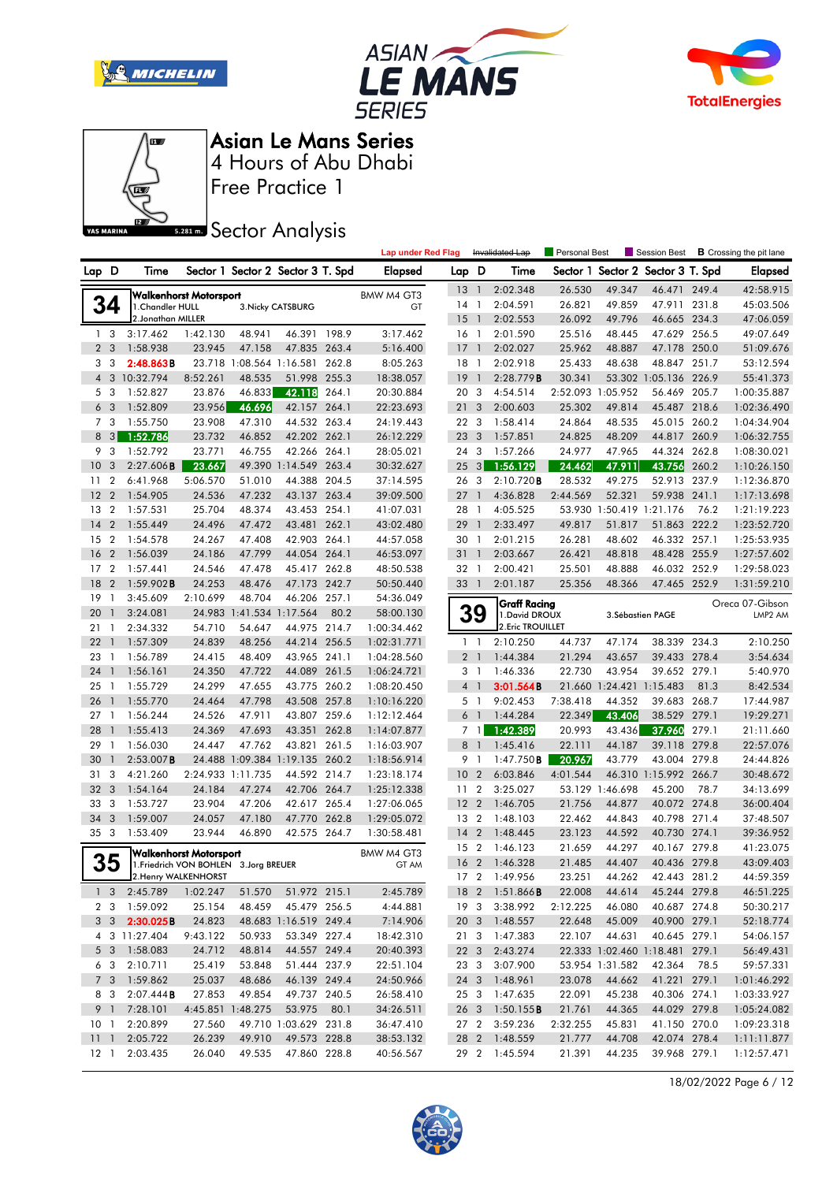







Free Practice 1

# **Sector Analysis**

|                 |                |                      |                                                                         |                          |                                   |       | <b>Lap under Red Flag</b> |                 |                          | Invalidated Lap                       | Personal Best |                   | Session Best                      |       | <b>B</b> Crossing the pit lane |
|-----------------|----------------|----------------------|-------------------------------------------------------------------------|--------------------------|-----------------------------------|-------|---------------------------|-----------------|--------------------------|---------------------------------------|---------------|-------------------|-----------------------------------|-------|--------------------------------|
| Lap D           |                | Time                 |                                                                         |                          | Sector 1 Sector 2 Sector 3 T. Spd |       | <b>Elapsed</b>            | Lap D           |                          | Time                                  |               |                   | Sector 1 Sector 2 Sector 3 T. Spd |       | <b>Elapsed</b>                 |
|                 |                |                      | <b>Walkenhorst Motorsport</b>                                           |                          |                                   |       |                           | 13              | $\overline{1}$           | 2:02.348                              | 26.530        | 49.347            | 46.471                            | 249.4 | 42:58.915                      |
|                 | 34             | 1. Chandler HULL     |                                                                         |                          | 3. Nicky CATSBURG                 |       | BMW M4 GT3<br>GT          | 14              | -1                       | 2:04.591                              | 26.821        | 49.859            | 47.911                            | 231.8 | 45:03.506                      |
|                 |                | 2. Jonathan MILLER   |                                                                         |                          |                                   |       |                           | 15              | $\overline{1}$           | 2:02.553                              | 26.092        | 49.796            | 46.665 234.3                      |       | 47:06.059                      |
| $\mathbf{1}$    | -3             | 3:17.462             | 1:42.130                                                                | 48.941                   | 46.391 198.9                      |       | 3:17.462                  | 16              | $\overline{1}$           | 2:01.590                              | 25.516        | 48.445            | 47.629 256.5                      |       | 49:07.649                      |
|                 | 2 <sub>3</sub> | 1:58.938             | 23.945                                                                  | 47.158                   | 47.835                            | 263.4 | 5:16.400                  | 17              | $\overline{\phantom{a}}$ | 2:02.027                              | 25.962        | 48.887            | 47.178 250.0                      |       | 51:09.676                      |
| 3               | 3              | 2:48.863B            |                                                                         |                          | 23.718 1:08.564 1:16.581 262.8    |       | 8:05.263                  | 18              | - 1                      | 2:02.918                              | 25.433        | 48.638            | 48.847 251.7                      |       | 53:12.594                      |
|                 |                | 4 3 10:32.794        | 8:52.261                                                                | 48.535                   | 51.998 255.3                      |       | 18:38.057                 | 19              | $\overline{1}$           | 2:28.779B                             | 30.341        |                   | 53.302 1:05.136 226.9             |       | 55:41.373                      |
| 5               | 3              | 1:52.827             | 23.876                                                                  | 46.833                   | 42.118                            | 264.1 | 20:30.884                 | 20              | - 3                      | 4:54.514                              |               | 2:52.093 1:05.952 | 56.469 205.7                      |       | 1:00:35.887                    |
| 6               | 3              | 1:52.809             | 23.956                                                                  | 46.696                   | 42.157 264.1                      |       | 22:23.693                 | 21              | $\mathbf{3}$             | 2:00.603                              | 25.302        | 49.814            | 45.487                            | 218.6 | 1:02:36.490                    |
|                 | 7 <sub>3</sub> | 1:55.750             | 23.908                                                                  | 47.310                   | 44.532 263.4                      |       | 24:19.443                 | 22 <sub>3</sub> |                          | 1:58.414                              | 24.864        | 48.535            | 45.015 260.2                      |       | 1:04:34.904                    |
| 8               | 3              | 1:52.786             | 23.732                                                                  | 46.852                   | 42.202 262.1                      |       | 26:12.229                 | 23              | 3                        | 1:57.851                              | 24.825        | 48.209            | 44.817 260.9                      |       | 1:06:32.755                    |
|                 | 9 3            | 1:52.792             | 23.771                                                                  | 46.755                   | 42.266 264.1                      |       | 28:05.021                 | 24 3            |                          | 1:57.266                              | 24.977        | 47.965            | 44.324 262.8                      |       | 1:08:30.021                    |
| 10              | 3              | $2:27.606$ B         | 23.667                                                                  |                          | 49.390 1:14.549                   | 263.4 | 30:32.627                 | 25              | 3                        | 1:56.129                              | 24.462        | 47.911            | 43.756                            | 260.2 | 1:10:26.150                    |
| 11              | 2              | 6:41.968             | 5:06.570                                                                | 51.010                   | 44.388 204.5                      |       | 37:14.595                 | 26              | $\overline{\mathbf{3}}$  | 2:10.720B                             | 28.532        | 49.275            | 52.913 237.9                      |       | 1:12:36.870                    |
| 12              | $\overline{2}$ | 1:54.905             | 24.536                                                                  | 47.232                   | 43.137 263.4                      |       | 39:09.500                 | 27              | $\overline{1}$           | 4:36.828                              | 2:44.569      | 52.321            | 59.938 241.1                      |       | 1:17:13.698                    |
| 13              | $\overline{2}$ | 1:57.531             | 25.704                                                                  | 48.374                   | 43.453 254.1                      |       | 41:07.031                 | 28              | $\overline{1}$           | 4:05.525                              |               |                   | 53.930 1:50.419 1:21.176          | 76.2  | 1:21:19.223                    |
| 14              | $\overline{2}$ | 1:55.449             | 24.496                                                                  | 47.472                   | 43.481                            | 262.1 | 43:02.480                 | 29              | $\overline{1}$           | 2:33.497                              | 49.817        | 51.817            | 51.863 222.2                      |       | 1:23:52.720                    |
| 15              | $\overline{2}$ | 1:54.578             | 24.267                                                                  | 47.408                   | 42.903 264.1                      |       | 44:57.058                 | 30              | $\mathbf{1}$             | 2:01.215                              | 26.281        | 48.602            | 46.332 257.1                      |       | 1:25:53.935                    |
| 16              | $\overline{2}$ | 1:56.039             | 24.186                                                                  | 47.799                   | 44.054                            | 264.1 | 46:53.097                 | 31 1            |                          | 2:03.667                              | 26.421        | 48.818            | 48.428 255.9                      |       | 1:27:57.602                    |
| 17              | $\overline{2}$ | 1:57.441             | 24.546                                                                  | 47.478                   | 45.417 262.8                      |       | 48:50.538                 | 32 1            |                          | 2:00.421                              | 25.501        | 48.888            | 46.032 252.9                      |       | 1:29:58.023                    |
| 18              | $\overline{2}$ | $1:59.902$ <b>B</b>  | 24.253                                                                  | 48.476                   | 47.173 242.7                      |       | 50:50.440                 | 33 1            |                          | 2:01.187                              | 25.356        | 48.366            | 47.465 252.9                      |       | 1:31:59.210                    |
| 19              | -1             | 3:45.609             | 2:10.699                                                                | 48.704                   | 46.206 257.1                      |       | 54:36.049                 |                 |                          |                                       |               |                   |                                   |       |                                |
| 20              | $\mathbf{1}$   | 3:24.081             |                                                                         | 24.983 1:41.534 1:17.564 |                                   | 80.2  | 58:00.130                 |                 | <b>39</b>                | <b>Graff Racing</b><br>1. David DROUX |               |                   | 3. Sébastien PAGE                 |       | Oreca 07-Gibson<br>LMP2 AM     |
| 21              | $\mathbf{1}$   | 2:34.332             | 54.710                                                                  | 54.647                   | 44.975 214.7                      |       | 1:00:34.462               |                 |                          | 2. Eric TROUILLET                     |               |                   |                                   |       |                                |
| 22              | $\mathbf{1}$   | 1:57.309             | 24.839                                                                  | 48.256                   | 44.214 256.5                      |       | 1:02:31.771               |                 | $1\quad$                 | 2:10.250                              | 44.737        | 47.174            | 38.339 234.3                      |       | 2:10.250                       |
| 23              | $\mathbf{1}$   | 1:56.789             | 24.415                                                                  | 48.409                   | 43.965 241.1                      |       | 1:04:28.560               | 2               |                          | 1:44.384                              | 21.294        | 43.657            | 39.433 278.4                      |       | 3:54.634                       |
| 24              | $\mathbf{1}$   | 1:56.161             | 24.350                                                                  | 47.722                   | 44.089                            | 261.5 | 1:06:24.721               |                 | 3 <sup>1</sup>           | 1:46.336                              | 22.730        | 43.954            | 39.652 279.1                      |       | 5:40.970                       |
| 25              | $\mathbf{1}$   | 1:55.729             | 24.299                                                                  | 47.655                   | 43.775 260.2                      |       | 1:08:20.450               |                 | 4 <sup>1</sup>           | 3:01.564B                             |               |                   | 21.660 1:24.421 1:15.483          | 81.3  | 8:42.534                       |
| 26              | $\mathbf{1}$   | 1:55.770             | 24.464                                                                  | 47.798                   | 43.508 257.8                      |       | 1:10:16.220               | 5               | $\overline{\phantom{a}}$ | 9:02.453                              | 7:38.418      | 44.352            | 39.683 268.7                      |       | 17:44.987                      |
| 27              | $\overline{1}$ | 1:56.244             | 24.526                                                                  | 47.911                   | 43.807 259.6                      |       | 1:12:12.464               | 6               | $\overline{1}$           | 1:44.284                              | 22.349        | 43.406            | 38.529 279.1                      |       | 19:29.271                      |
| 28              | $\mathbf{1}$   | 1:55.413             | 24.369                                                                  | 47.693                   | 43.351                            | 262.8 | 1:14:07.877               |                 | 7 1                      | 1:42.389                              | 20.993        | 43.436            | 37.960                            | 279.1 | 21:11.660                      |
| 29              | $\mathbf{1}$   | 1:56.030             | 24.447                                                                  | 47.762                   | 43.821 261.5                      |       | 1:16:03.907               | 8               | $\overline{1}$           | 1:45.416                              | 22.111        | 44.187            | 39.118 279.8                      |       | 22:57.076                      |
| 30              | $\mathbf{1}$   | $2:53.007$ B         |                                                                         |                          | 24.488 1:09.384 1:19.135 260.2    |       | 1:18:56.914               | 9               | -1                       | 1:47.750B                             | 20.967        | 43.779            | 43.004                            | 279.8 | 24:44.826                      |
| 31              | 3              | 4:21.260             |                                                                         | 2:24.933 1:11.735        | 44.592 214.7                      |       | 1:23:18.174               | 10              | $\overline{2}$           | 6:03.846                              | 4:01.544      |                   | 46.310 1:15.992 266.7             |       | 30:48.672                      |
| 32              | 3              | 1:54.164             | 24.184                                                                  | 47.274                   | 42.706 264.7                      |       | 1:25:12.338               | 11              | $\overline{2}$           | 3:25.027                              |               | 53.129 1:46.698   | 45.200                            | 78.7  | 34:13.699                      |
| 33              | 3              | 1:53.727             | 23.904                                                                  | 47.206                   | 42.617 265.4                      |       | 1:27:06.065               | 12              | $\overline{2}$           | 1:46.705                              | 21.756        | 44.877            | 40.072 274.8                      |       | 36:00.404                      |
| 34              | 3              | 1:59.007             | 24.057                                                                  | 47.180                   | 47.770 262.8                      |       | 1:29:05.072               | 13 2            |                          | 1:48.103                              | 22.462        | 44.843            | 40.798 271.4                      |       | 37:48.507                      |
| 35 3            |                | 1:53.409             | 23.944                                                                  | 46.890                   | 42.575 264.7                      |       | 1:30:58.481               | 14              | $\overline{2}$           | 1:48.445                              | 23.123        | 44.592            | 40.730 274.1                      |       | 39:36.952                      |
|                 |                |                      |                                                                         |                          |                                   |       |                           | 15              | $\overline{2}$           | 1:46.123                              | 21.659        | 44.297            | 40.167 279.8                      |       | 41:23.075                      |
|                 | 35             |                      | <b>Walkenhorst Motorsport</b><br>1. Friedrich VON BOHLEN 3. Jorg BREUER |                          |                                   |       | BMW M4 GT3<br>GT AM       | 16 <sub>2</sub> |                          | 1:46.328                              | 21.485        | 44.407            | 40.436 279.8                      |       | 43:09.403                      |
|                 |                | 2. Henry WALKENHORST |                                                                         |                          |                                   |       |                           |                 |                          | 17 2 1:49.956                         | 23.251        | 44.262            | 42.443 281.2                      |       | 44:59.359                      |
|                 |                | 1 3 2:45.789         | 1:02.247                                                                | 51.570                   | 51.972 215.1                      |       | 2:45.789                  |                 |                          | 18 2 1:51.866 <b>B</b>                | 22.008        | 44.614            | 45.244 279.8                      |       | 46:51.225                      |
|                 |                | 2 3 1:59.092         | 25.154                                                                  | 48.459                   | 45.479 256.5                      |       | 4:44.881                  | 19 3            |                          | 3:38.992                              | 2:12.225      | 46.080            | 40.687 274.8                      |       | 50:30.217                      |
|                 |                | 3 3 2:30.025B        | 24.823                                                                  |                          | 48.683 1:16.519 249.4             |       | 7:14.906                  |                 |                          | 20 3 1:48.557                         | 22.648        | 45.009            | 40.900 279.1                      |       | 52:18.774                      |
|                 |                | 4 3 11:27.404        | 9:43.122                                                                | 50.933                   | 53.349 227.4                      |       | 18:42.310                 | 21 3            |                          | 1:47.383                              | 22.107        | 44.631            | 40.645 279.1                      |       | 54:06.157                      |
|                 | 5 <sub>3</sub> | 1:58.083             | 24.712                                                                  | 48.814                   | 44.557 249.4                      |       | 20:40.393                 |                 | 22 3                     | 2:43.274                              |               |                   | 22.333 1:02.460 1:18.481 279.1    |       | 56:49.431                      |
|                 | 6 3            | 2:10.711             | 25.419                                                                  | 53.848                   | 51.444 237.9                      |       | 22:51.104                 | 23 3            |                          | 3:07.900                              |               | 53.954 1:31.582   | 42.364                            | 78.5  | 59:57.331                      |
|                 | 7 <sup>3</sup> | 1:59.862             | 25.037                                                                  | 48.686                   | 46.139 249.4                      |       | 24:50.966                 | 24 3            |                          | 1:48.961                              | 23.078        | 44.662            | 41.221 279.1                      |       | 1:01:46.292                    |
|                 | 83             | 2:07.444B            | 27.853                                                                  | 49.854                   | 49.737 240.5                      |       | 26:58.410                 | 25 3            |                          | 1:47.635                              | 22.091        | 45.238            | 40.306 274.1                      |       | 1:03:33.927                    |
|                 | 9 1            | 7:28.101             |                                                                         | 4:45.851 1:48.275        | 53.975                            | 80.1  | 34:26.511                 | 26 3            |                          | 1:50.155B                             | 21.761        | 44.365            | 44.029 279.8                      |       | 1:05:24.082                    |
| 10 <sub>1</sub> |                | 2:20.899             | 27.560                                                                  |                          | 49.710 1:03.629 231.8             |       | 36:47.410                 |                 |                          | 27 2 3:59.236                         | 2:32.255      | 45.831            | 41.150 270.0                      |       | 1:09:23.318                    |
| $11 \quad 1$    |                | 2:05.722             | 26.239                                                                  | 49.910                   | 49.573 228.8                      |       | 38:53.132                 |                 |                          | 28 2 1:48.559                         | 21.777        | 44.708            | 42.074 278.4                      |       | 1:11:11.877                    |
| $12-1$          |                | 2:03.435             | 26.040                                                                  | 49.535                   | 47.860 228.8                      |       | 40:56.567                 |                 |                          | 29 2 1:45.594                         | 21.391        | 44.235            | 39.968 279.1                      |       | 1:12:57.471                    |

18/02/2022 Page 6 / 12

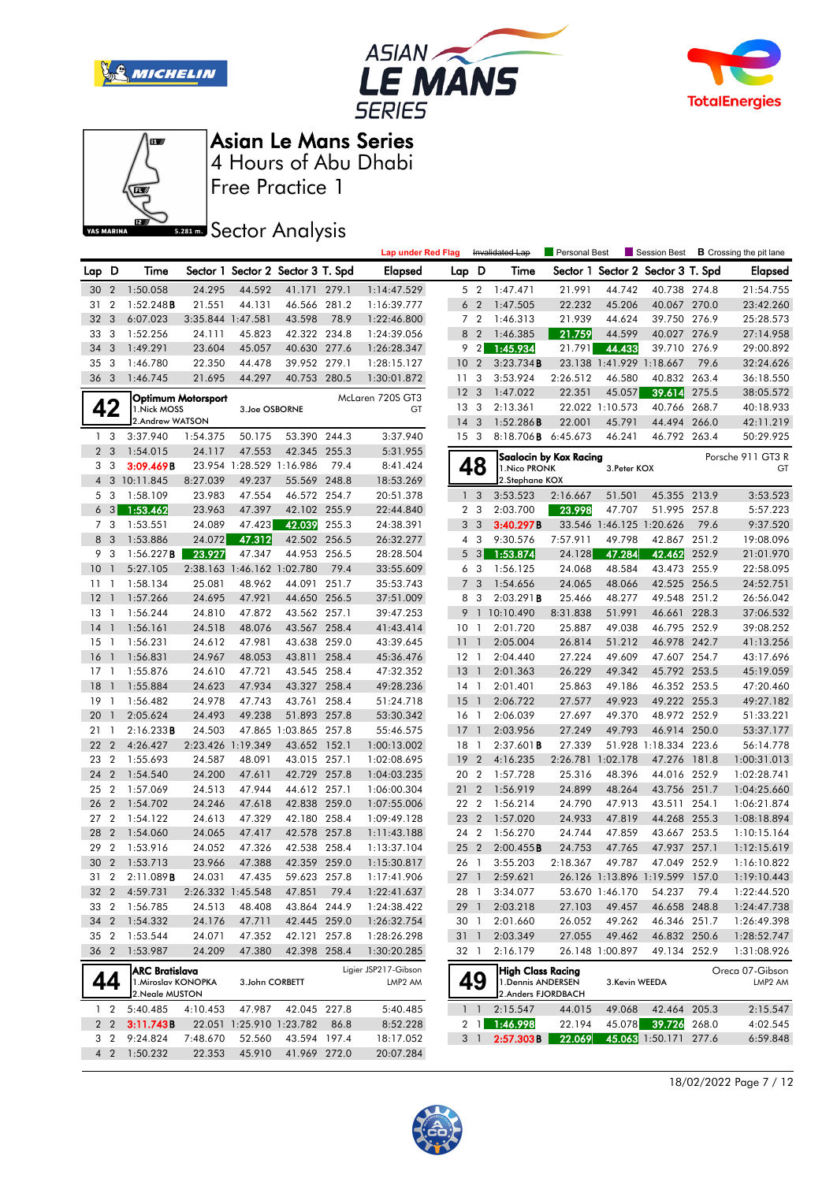







Free Practice 1

# **Sector Analysis**

|                 |                |                                                                 |                    |                            |                                   |       | <b>Lap under Red Flag</b>                   |                 |                | Invalidated Lap                                                      | <b>Personal Best</b>   |                 | Session Best                      |       | <b>B</b> Crossing the pit lane |
|-----------------|----------------|-----------------------------------------------------------------|--------------------|----------------------------|-----------------------------------|-------|---------------------------------------------|-----------------|----------------|----------------------------------------------------------------------|------------------------|-----------------|-----------------------------------|-------|--------------------------------|
| Lap D           |                | Time                                                            |                    |                            | Sector 1 Sector 2 Sector 3 T. Spd |       | <b>Elapsed</b>                              | Lap D           |                | Time                                                                 |                        |                 | Sector 1 Sector 2 Sector 3 T. Spd |       | <b>Elapsed</b>                 |
| 30              | $\overline{2}$ | 1:50.058                                                        | 24.295             | 44.592                     | 41.171 279.1                      |       | 1:14:47.529                                 |                 | 5 <sub>2</sub> | 1:47.471                                                             | 21.991                 | 44.742          | 40.738 274.8                      |       | 21:54.755                      |
| 31              | $\overline{2}$ | 1:52.248B                                                       | 21.551             | 44.131                     | 46.566                            | 281.2 | 1:16:39.777                                 |                 | 6 <sub>2</sub> | 1:47.505                                                             | 22.232                 | 45.206          | 40.067 270.0                      |       | 23:42.260                      |
| 32              | 3              | 6:07.023                                                        | 3:35.844 1:47.581  |                            | 43.598                            | 78.9  | 1:22:46.800                                 |                 | 7 <sub>2</sub> | 1:46.313                                                             | 21.939                 | 44.624          | 39.750 276.9                      |       | 25:28.573                      |
| 33              | 3              | 1:52.256                                                        | 24.111             | 45.823                     | 42.322 234.8                      |       | 1:24:39.056                                 | 8               | $\overline{2}$ | 1:46.385                                                             | 21.759                 | 44.599          | 40.027 276.9                      |       | 27:14.958                      |
| 34              | 3              | 1:49.291                                                        | 23.604             | 45.057                     | 40.630 277.6                      |       | 1:26:28.347                                 | 9               | $\overline{2}$ | 1:45.934                                                             | 21.791                 | 44.433          | 39.710 276.9                      |       | 29:00.892                      |
| 35              | 3              | 1:46.780                                                        | 22.350             | 44.478                     | 39.952 279.1                      |       | 1:28:15.127                                 | 10              | $\overline{2}$ | 3:23.734B                                                            |                        |                 | 23.138 1:41.929 1:18.667          | 79.6  | 32:24.626                      |
| 36 <sub>3</sub> |                | 1:46.745                                                        | 21.695             | 44.297                     | 40.753 280.5                      |       | 1:30:01.872                                 | 11 <sub>3</sub> |                | 3:53.924                                                             | 2:26.512               | 46.580          | 40.832 263.4                      |       | 36:18.550                      |
|                 |                |                                                                 | Optimum Motorsport |                            |                                   |       | McLaren 720S GT3                            | 12 <sup>3</sup> |                | 1:47.022                                                             | 22.351                 | 45.057          | 39.614                            | 275.5 | 38:05.572                      |
|                 | 42             | 1. Nick MOSS                                                    |                    | 3.Joe OSBORNE              |                                   |       | GT                                          | 13 <sub>3</sub> |                | 2:13.361                                                             |                        | 22.022 1:10.573 | 40.766                            | 268.7 | 40:18.933                      |
|                 |                | 2.Andrew WATSON                                                 |                    |                            |                                   |       |                                             | $14 \quad 3$    |                | 1:52.286B                                                            | 22.001                 | 45.791          | 44.494 266.0                      |       | 42:11.219                      |
| 1 <sub>3</sub>  |                | 3:37.940                                                        | 1:54.375           | 50.175                     | 53.390 244.3                      |       | 3:37.940                                    | 15 <sub>3</sub> |                | 8:18.706 <b>B</b> 6:45.673                                           |                        | 46.241          | 46.792 263.4                      |       | 50:29.925                      |
| 2 <sub>3</sub>  |                | 1:54.015                                                        | 24.117             | 47.553                     | 42.345 255.3                      |       | 5:31.955                                    |                 |                |                                                                      | Saalocin by Kox Racing |                 |                                   |       | Porsche 911 GT3 R              |
| 3               | 3              | 3:09.469B                                                       |                    | 23.954 1:28.529 1:16.986   |                                   | 79.4  | 8:41.424                                    |                 | 48             | 1. Nico PRONK                                                        |                        | 3. Peter KOX    |                                   |       | GT                             |
|                 |                | 4 3 10:11.845                                                   | 8:27.039           | 49.237                     | 55.569 248.8                      |       | 18:53.269                                   |                 |                | 2.Stephane KOX                                                       |                        |                 |                                   |       |                                |
| 5 <sub>3</sub>  |                | 1:58.109                                                        | 23.983             | 47.554                     | 46.572 254.7                      |       | 20:51.378                                   |                 | 1 <sup>3</sup> | 3:53.523                                                             | 2:16.667               | 51.501          | 45.355 213.9                      |       | 3:53.523                       |
|                 | $6 \quad 3$    | 1:53.462                                                        | 23.963             | 47.397                     | 42.102 255.9                      |       | 22:44.840                                   |                 | 2 <sub>3</sub> | 2:03.700                                                             | 23.998                 | 47.707          | 51.995 257.8                      |       | 5:57.223                       |
| 7 3             |                | 1:53.551                                                        | 24.089             | 47.423                     | 42.039                            | 255.3 | 24:38.391                                   | 3               | $\overline{3}$ | 3:40.297B                                                            |                        |                 | 33.546 1:46.125 1:20.626          | 79.6  | 9:37.520                       |
| 8 3             |                | 1:53.886                                                        | 24.072             | 47.312                     | 42.502 256.5                      |       | 26:32.277                                   |                 | $4\quad3$      | 9:30.576                                                             | 7:57.911               | 49.798          | 42.867 251.2                      |       | 19:08.096                      |
| 9 3             |                | 1:56.227B                                                       | 23.927             | 47.347                     | 44.953 256.5                      |       | 28:28.504                                   | 5               | $\mathbf{3}$   | 1:53.874                                                             | 24.128                 | 47.284          | 42.462                            | 252.9 | 21:01.970                      |
| 10 <sub>1</sub> |                | 5:27.105                                                        |                    | 2:38.163 1:46.162 1:02.780 |                                   | 79.4  | 33:55.609                                   |                 | 6 3            | 1:56.125                                                             | 24.068                 | 48.584          | 43.473 255.9                      |       | 22:58.095                      |
| 11              | $\overline{1}$ | 1:58.134                                                        | 25.081             | 48.962                     | 44.091                            | 251.7 | 35:53.743                                   | $7^{\circ}$     | 3              | 1:54.656                                                             | 24.065                 | 48.066          | 42.525 256.5                      |       | 24:52.751                      |
| 12              | - 1            | 1:57.266                                                        | 24.695             | 47.921                     | 44.650 256.5                      |       | 37:51.009                                   |                 | 83             | 2:03.291B                                                            | 25.466                 | 48.277          | 49.548 251.2                      |       | 26:56.042                      |
| $13-1$          |                | 1:56.244                                                        | 24.810             | 47.872                     | 43.562 257.1                      |       | 39:47.253                                   | 9               |                | 1 10:10.490                                                          | 8:31.838               | 51.991          | 46.661 228.3                      |       | 37:06.532                      |
| 14              | $\overline{1}$ | 1:56.161                                                        | 24.518             | 48.076                     | 43.567 258.4                      |       | 41:43.414                                   | 10 <sub>1</sub> |                | 2:01.720                                                             | 25.887                 | 49.038          | 46.795 252.9                      |       | 39:08.252                      |
| 15              | $\overline{1}$ | 1:56.231                                                        | 24.612             | 47.981                     | 43.638                            | 259.0 | 43:39.645                                   | 11              | $\overline{1}$ | 2:05.004                                                             | 26.814                 | 51.212          | 46.978 242.7                      |       | 41:13.256                      |
| 16              | $\mathbf{1}$   | 1:56.831                                                        | 24.967             | 48.053                     | 43.811 258.4                      |       | 45:36.476                                   | $12-1$          |                | 2:04.440                                                             | 27.224                 | 49.609          | 47.607 254.7                      |       | 43:17.696                      |
| $17-1$          |                | 1:55.876                                                        | 24.610             | 47.721                     | 43.545 258.4                      |       | 47:32.352                                   | 13              | $\overline{1}$ | 2:01.363                                                             | 26.229                 | 49.342          | 45.792 253.5                      |       | 45:19.059                      |
| 18              | $\overline{1}$ | 1:55.884                                                        | 24.623             | 47.934                     | 43.327                            | 258.4 | 49:28.236                                   | $14-1$          |                | 2:01.401                                                             | 25.863                 | 49.186          | 46.352 253.5                      |       | 47:20.460                      |
| 19              | $\overline{1}$ | 1:56.482                                                        | 24.978             | 47.743                     | 43.761                            | 258.4 | 51:24.718                                   | 15              | $\overline{1}$ | 2:06.722                                                             | 27.577                 | 49.923          | 49.222 255.3                      |       | 49:27.182                      |
| 20              | $\overline{1}$ | 2:05.624                                                        | 24.493             | 49.238                     | 51.893 257.8                      |       | 53:30.342                                   | 16 1            |                | 2:06.039                                                             | 27.697                 | 49.370          | 48.972 252.9                      |       | 51:33.221                      |
| 21              | -1             | 2:16.233B                                                       | 24.503             |                            | 47.865 1:03.865 257.8             |       | 55:46.575                                   | 17 1            |                | 2:03.956                                                             | 27.249                 | 49.793          | 46.914 250.0                      |       | 53:37.177                      |
| 22              | $\overline{2}$ | 4:26.427                                                        | 2:23.426 1:19.349  |                            | 43.652 152.1                      |       | 1:00:13.002                                 | 18              | $\overline{1}$ | $2:37.601$ B                                                         | 27.339                 |                 | 51.928 1:18.334 223.6             |       | 56:14.778                      |
| 23              | $\overline{2}$ | 1:55.693                                                        | 24.587             | 48.091                     | 43.015 257.1                      |       | 1:02:08.695                                 | 19              | $\overline{2}$ | 4:16.235                                                             | 2:26.781 1:02.178      |                 | 47.276 181.8                      |       | 1:00:31.013                    |
| 24              | $\overline{2}$ | 1:54.540                                                        | 24.200             | 47.611                     | 42.729 257.8                      |       | 1:04:03.235                                 | 20 2            |                | 1:57.728                                                             | 25.316                 | 48.396          | 44.016 252.9                      |       | 1:02:28.741                    |
| 25              | $\overline{2}$ | 1:57.069                                                        | 24.513             | 47.944                     | 44.612 257.1                      |       | 1:06:00.304                                 | 212             |                | 1:56.919                                                             | 24.899                 | 48.264          | 43.756 251.7                      |       | 1:04:25.660                    |
| 26              | $\overline{2}$ | 1:54.702                                                        | 24.246             | 47.618                     | 42.838                            | 259.0 | 1:07:55.006                                 | 22 2            |                | 1:56.214                                                             | 24.790                 | 47.913          | 43.511                            | 254.1 | 1:06:21.874                    |
| 27              | $\overline{2}$ | 1:54.122                                                        | 24.613             | 47.329                     | 42.180 258.4                      |       | 1:09:49.128                                 | 23 2            |                | 1:57.020                                                             | 24.933                 | 47.819          | 44.268 255.3                      |       | 1:08:18.894                    |
| 28              | $\overline{2}$ | 1:54.060                                                        | 24.065             | 47.417                     | 42.578                            | 257.8 | 1:11:43.188                                 | 24 2            |                | 1:56.270                                                             | 24.744                 | 47.859          | 43.667 253.5                      |       | 1:10:15.164                    |
| 29              | $\overline{2}$ | 1:53.916                                                        | 24.052             | 47.326                     | 42.538 258.4                      |       | 1:13:37.104                                 | 25 2            |                | 2:00.455B                                                            | 24.753                 | 47.765          | 47.937                            | 257.1 | 1:12:15.619                    |
| 30 2            |                | 1:53.713                                                        | 23.966             | 47.388                     | 42.359 259.0                      |       | 1:15:30.817                                 | 26 1            |                | 3:55.203                                                             | 2:18.367               | 49.787          | 47.049 252.9                      |       | 1:16:10.822                    |
| 31              | $\overline{2}$ | 2:11.089B                                                       | 24.031             | 47.435                     | 59.623 257.8                      |       | 1:17:41.906                                 | 27 <sup>1</sup> |                | 2:59.621                                                             |                        |                 | 26.126 1:13.896 1:19.599 157.0    |       | 1:19:10.443                    |
|                 |                | 32 2 4:59.731                                                   |                    | 2:26.332 1:45.548          | 47.851                            | 79.4  | 1:22:41.637                                 |                 | 28 1           | 3:34.077                                                             |                        | 53.670 1:46.170 | 54.237                            | 79.4  | 1:22:44.520                    |
| 33 2            |                | 1:56.785                                                        | 24.513             | 48.408                     | 43.864 244.9                      |       | 1:24:38.422                                 | 29 1            |                | 2:03.218                                                             | 27.103                 | 49.457          | 46.658 248.8                      |       | 1:24:47.738                    |
| 34 2            |                | 1:54.332                                                        | 24.176             | 47.711                     | 42.445 259.0                      |       | 1:26:32.754                                 | 30 1            |                | 2:01.660                                                             | 26.052                 | 49.262          | 46.346 251.7                      |       | 1:26:49.398                    |
| 35 2            |                | 1:53.544                                                        | 24.071             | 47.352                     | 42.121 257.8                      |       | 1:28:26.298                                 | 31 1            |                | 2:03.349                                                             | 27.055                 | 49.462          | 46.832 250.6                      |       | 1:28:52.747                    |
| 36 2            |                | 1:53.987                                                        | 24.209             | 47.380                     | 42.398 258.4                      |       | 1:30:20.285                                 | 32 1            |                | 2:16.179                                                             |                        | 26.148 1:00.897 | 49.134 252.9                      |       | 1:31:08.926                    |
| 44              |                | <b>ARC Bratislava</b><br>1. Miroslav KONOPKA<br>2. Neale MUSTON |                    | 3.John CORBETT             |                                   |       | Ligier JSP217-Gibson<br>LMP <sub>2</sub> AM |                 | 49             | <b>High Class Racing</b><br>1. Dennis ANDERSEN<br>2.Anders FJORDBACH |                        | 3.Kevin WEEDA   |                                   |       | Oreca 07-Gibson<br>LMP2 AM     |
| 1 <sub>2</sub>  |                | 5:40.485                                                        | 4:10.453           | 47.987                     | 42.045 227.8                      |       | 5:40.485                                    |                 | 1 <sub>1</sub> | 2:15.547                                                             | 44.015                 | 49.068          | 42.464 205.3                      |       | 2:15.547                       |
|                 | 2 <sub>2</sub> | 3:11.743B                                                       |                    | 22.051 1:25.910 1:23.782   |                                   | 86.8  | 8:52.228                                    |                 | $2 \mid 1$     | 1:46.998                                                             | 22.194                 |                 | 45.078 39.726 268.0               |       | 4:02.545                       |
| 3 <sub>2</sub>  |                | 9:24.824                                                        | 7:48.670           | 52.560                     | 43.594 197.4                      |       | 18:17.052                                   |                 | 3 1            | 2:57.303B                                                            | 22.069                 |                 | 45.063 1:50.171 277.6             |       | 6:59.848                       |
| 4 <sup>2</sup>  |                | 1:50.232                                                        | 22.353             | 45.910                     | 41.969 272.0                      |       | 20:07.284                                   |                 |                |                                                                      |                        |                 |                                   |       |                                |

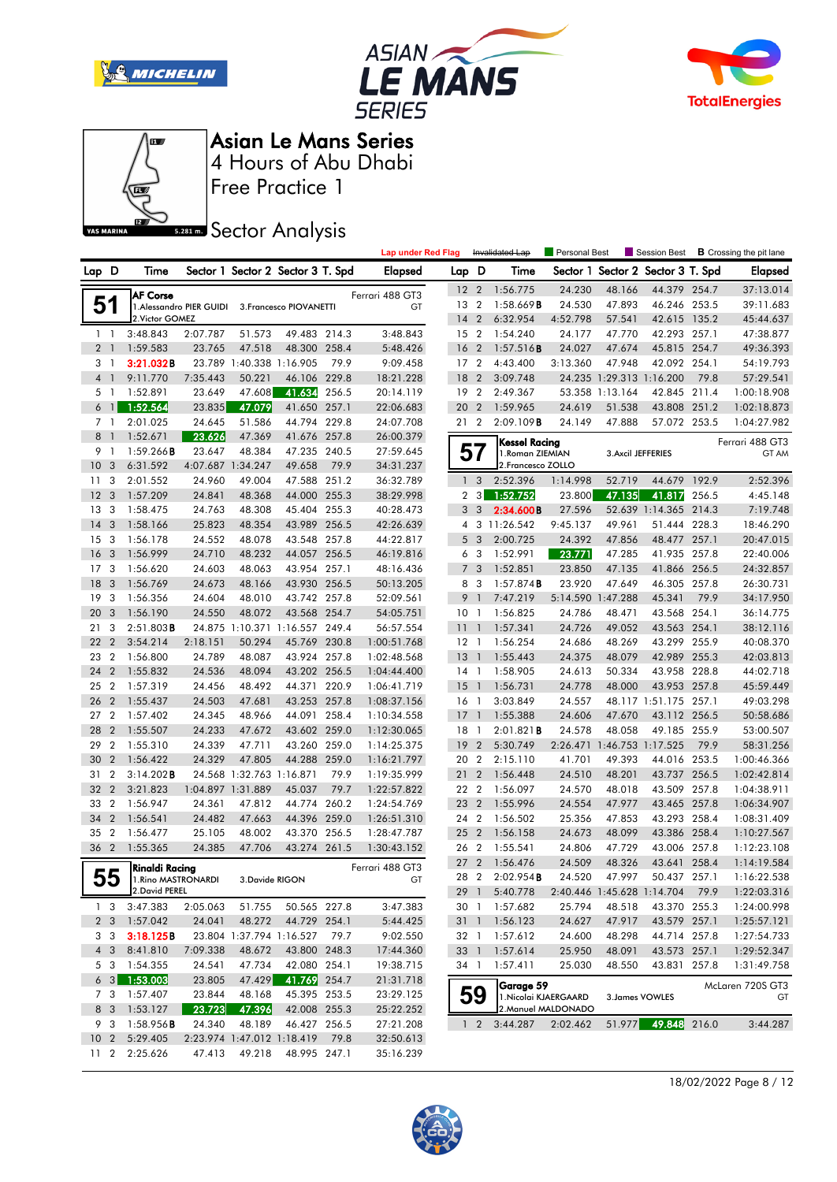







Free Practice 1

# **Sector Analysis**

|                 |                 |                     |                          |                          |                                   |       | <b>Lap under Red Flag</b> |                 |                         | Invalidated Lap        | Personal Best       |                                   | Session Best          |       | <b>B</b> Crossing the pit lane |
|-----------------|-----------------|---------------------|--------------------------|--------------------------|-----------------------------------|-------|---------------------------|-----------------|-------------------------|------------------------|---------------------|-----------------------------------|-----------------------|-------|--------------------------------|
| Lap D           |                 | Time                |                          |                          | Sector 1 Sector 2 Sector 3 T. Spd |       | Elapsed                   | Lap D           |                         | Time                   |                     | Sector 1 Sector 2 Sector 3 T. Spd |                       |       | <b>Elapsed</b>                 |
|                 |                 | <b>AF Corse</b>     |                          |                          |                                   |       | Ferrari 488 GT3           | 12 <sub>2</sub> |                         | 1:56.775               | 24.230              | 48.166                            | 44.379 254.7          |       | 37:13.014                      |
|                 | 51              |                     | 1. Alessandro PIER GUIDI |                          | 3. Francesco PIOVANETTI           |       | GT                        | 13              | $\overline{2}$          | $1:58.669$ <b>B</b>    | 24.530              | 47.893                            | 46.246 253.5          |       | 39:11.683                      |
|                 |                 | 2. Victor GOMEZ     |                          |                          |                                   |       |                           | $14 \quad 2$    |                         | 6:32.954               | 4:52.798            | 57.541                            | 42.615 135.2          |       | 45:44.637                      |
|                 | $1\quad$        | 3:48.843            | 2:07.787                 | 51.573                   | 49.483 214.3                      |       | 3:48.843                  | 15 2            |                         | 1:54.240               | 24.177              | 47.770                            | 42.293 257.1          |       | 47:38.877                      |
|                 | 2 <sup>1</sup>  | 1:59.583            | 23.765                   | 47.518                   | 48.300 258.4                      |       | 5:48.426                  | 16              | $\overline{2}$          | 1:57.516B              | 24.027              | 47.674                            | 45.815 254.7          |       | 49:36.393                      |
|                 | 3 1             | 3:21.032B           |                          |                          | 23.789 1:40.338 1:16.905          | 79.9  | 9:09.458                  | 17 <sub>2</sub> |                         | 4:43.400               | 3:13.360            | 47.948                            | 42.092 254.1          |       | 54:19.793                      |
| $\overline{4}$  | $\overline{1}$  | 9:11.770            | 7:35.443                 | 50.221                   | 46.106 229.8                      |       | 18:21.228                 | 18              | $\overline{2}$          | 3:09.748               |                     | 24.235 1:29.313 1:16.200          |                       | 79.8  | 57:29.541                      |
|                 | 5 <sub>1</sub>  | 1:52.891            | 23.649                   | 47.608                   | 41.634                            | 256.5 | 20:14.119                 | 19 2            |                         | 2:49.367               |                     | 53.358 1:13.164                   | 42.845 211.4          |       | 1:00:18.908                    |
| 6               | $\overline{1}$  | 1:52.564            | 23.835                   | 47.079                   | 41.650 257.1                      |       | 22:06.683                 | 20              | $\overline{2}$          | 1:59.965               | 24.619              | 51.538                            | 43.808 251.2          |       | 1:02:18.873                    |
|                 | 7 1             | 2:01.025            | 24.645                   | 51.586                   | 44.794 229.8                      |       | 24:07.708                 | 21 2            |                         | 2:09.109B              | 24.149              | 47.888                            | 57.072 253.5          |       | 1:04:27.982                    |
| 8               | $\mathbf{1}$    | 1:52.671            | 23.626                   | 47.369                   | 41.676 257.8                      |       | 26:00.379                 |                 |                         | <b>Kessel Racing</b>   |                     |                                   |                       |       | Ferrari 488 GT3                |
| 9               | $\overline{1}$  | 1:59.266B           | 23.647                   | 48.384                   | 47.235                            | 240.5 | 27:59.645                 | ວ /             |                         | 1. Roman ZIEMIAN       |                     | 3. Axcil JEFFERIES                |                       |       | GT AM                          |
| 10 <sup>°</sup> | -3              | 6:31.592            | 4:07.687                 | 1:34.247                 | 49.658                            | 79.9  | 34:31.237                 |                 |                         | 2. Francesco ZOLLO     |                     |                                   |                       |       |                                |
| 11              | 3               | 2:01.552            | 24.960                   | 49.004                   | 47.588 251.2                      |       | 36:32.789                 | $\mathbf{1}$    | $\overline{\mathbf{3}}$ | 2:52.396               | 1:14.998            | 52.719                            | 44.679 192.9          |       | 2:52.396                       |
| 12              | 3               | 1:57.209            | 24.841                   | 48.368                   | 44.000 255.3                      |       | 38:29.998                 | 2               | $\overline{\mathbf{3}}$ | 1:52.752               | 23.800              | 47.135                            | 41.817                | 256.5 | 4:45.148                       |
| 13              | 3               | 1:58.475            | 24.763                   | 48.308                   | 45.404                            | 255.3 | 40:28.473                 | 3               | $\overline{3}$          | 2:34.600B              | 27.596              |                                   | 52.639 1:14.365 214.3 |       | 7:19.748                       |
| 14              | 3               | 1:58.166            | 25.823                   | 48.354                   | 43.989 256.5                      |       | 42:26.639                 |                 |                         | 4 3 11:26.542          | 9:45.137            | 49.961                            | 51.444 228.3          |       | 18:46.290                      |
| 15              | 3               | 1:56.178            | 24.552                   | 48.078                   | 43.548 257.8                      |       | 44:22.817                 | 5               | $\overline{\mathbf{3}}$ | 2:00.725               | 24.392              | 47.856                            | 48.477 257.1          |       | 20:47.015                      |
| 16              | -3              | 1:56.999            | 24.710                   | 48.232                   | 44.057                            | 256.5 | 46:19.816                 | 6               | $\overline{\mathbf{3}}$ | 1:52.991               | 23.771              | 47.285                            | 41.935 257.8          |       | 22:40.006                      |
| 17              | 3               | 1:56.620            | 24.603                   | 48.063                   | 43.954                            | 257.1 | 48:16.436                 | $\overline{7}$  | $\overline{3}$          | 1:52.851               | 23.850              | 47.135                            | 41.866 256.5          |       | 24:32.857                      |
| 18              | 3               | 1:56.769            | 24.673                   | 48.166                   | 43.930 256.5                      |       | 50:13.205                 | 8               | - 3                     | 1:57.874B              | 23.920              | 47.649                            | 46.305 257.8          |       | 26:30.731                      |
| 19              | 3               | 1:56.356            | 24.604                   | 48.010                   | 43.742 257.8                      |       | 52:09.561                 | 9               | $\overline{1}$          | 7:47.219               | 5:14.590 1:47.288   |                                   | 45.341                | 79.9  | 34:17.950                      |
| 20              | 3               | 1:56.190            | 24.550                   | 48.072                   | 43.568 254.7                      |       | 54:05.751                 | 10              | $\overline{1}$          | 1:56.825               | 24.786              | 48.471                            | 43.568 254.1          |       | 36:14.775                      |
| 21              | 3               | $2:51.803$ <b>B</b> |                          |                          | 24.875 1:10.371 1:16.557 249.4    |       | 56:57.554                 | 11              | $\mathbf{1}$            | 1:57.341               | 24.726              | 49.052                            | 43.563 254.1          |       | 38:12.116                      |
| 22              | $\overline{2}$  | 3:54.214            | 2:18.151                 | 50.294                   | 45.769 230.8                      |       | 1:00:51.768               | $12-1$          |                         | 1:56.254               | 24.686              | 48.269                            | 43.299 255.9          |       | 40:08.370                      |
| 23              | $\overline{2}$  | 1:56.800            | 24.789                   | 48.087                   | 43.924 257.8                      |       | 1:02:48.568               | 13              | $\overline{1}$          | 1:55.443               | 24.375              | 48.079                            | 42.989 255.3          |       | 42:03.813                      |
| 24              | $\overline{2}$  | 1:55.832            | 24.536                   | 48.094                   | 43.202 256.5                      |       | 1:04:44.400               | $14-1$          |                         | 1:58.905               | 24.613              | 50.334                            | 43.958 228.8          |       | 44:02.718                      |
| 25              | $\overline{2}$  | 1:57.319            | 24.456                   | 48.492                   | 44.371 220.9                      |       | 1:06:41.719               | 15              | $\mathbf{1}$            | 1:56.731               | 24.778              | 48.000                            | 43.953 257.8          |       | 45:59.449                      |
| 26              | $\overline{2}$  | 1:55.437            | 24.503                   | 47.681                   | 43.253 257.8                      |       | 1:08:37.156               | $16-1$          |                         | 3:03.849               | 24.557              |                                   | 48.117 1:51.175 257.1 |       | 49:03.298                      |
| 27              | $\overline{2}$  | 1:57.402            | 24.345                   | 48.966                   | 44.091                            | 258.4 | 1:10:34.558               | 17              | $\overline{1}$          | 1:55.388               | 24.606              | 47.670                            | 43.112 256.5          |       | 50:58.686                      |
| 28              | $\overline{2}$  | 1:55.507            | 24.233                   | 47.672                   | 43.602 259.0                      |       | 1:12:30.065               | 18              | $\overline{1}$          | 2:01.821B              | 24.578              | 48.058                            | 49.185 255.9          |       | 53:00.507                      |
| 29              | $\overline{2}$  | 1:55.310            | 24.339                   | 47.711                   | 43.260 259.0                      |       | 1:14:25.375               | 19              | $\overline{2}$          | 5:30.749               |                     | 2:26.471 1:46.753 1:17.525        |                       | 79.9  | 58:31.256                      |
| 30              | $\overline{2}$  | 1:56.422            | 24.329                   | 47.805                   | 44.288 259.0                      |       | 1:16:21.797               | 20 2            |                         | 2:15.110               | 41.701              | 49.393                            | 44.016 253.5          |       | 1:00:46.366                    |
| 31              | $\overline{2}$  | 3:14.202B           |                          | 24.568 1:32.763 1:16.871 |                                   | 79.9  | 1:19:35.999               | 21              | $\overline{2}$          | 1:56.448               | 24.510              | 48.201                            | 43.737 256.5          |       | 1:02:42.814                    |
| 32              | $\overline{2}$  | 3:21.823            | 1:04.897 1:31.889        |                          | 45.037                            | 79.7  | 1:22:57.822               | 22 2            |                         | 1:56.097               | 24.570              | 48.018                            | 43.509                | 257.8 | 1:04:38.911                    |
| 33 2            |                 | 1:56.947            | 24.361                   | 47.812                   | 44.774 260.2                      |       | 1:24:54.769               | 23              | $\overline{2}$          | 1:55.996               | 24.554              | 47.977                            | 43.465 257.8          |       | 1:06:34.907                    |
| 34              | $\overline{2}$  | 1:56.541            | 24.482                   | 47.663                   | 44.396 259.0                      |       | 1:26:51.310               | 24 2            |                         | 1:56.502               | 25.356              | 47.853                            | 43.293 258.4          |       | 1:08:31.409                    |
| 35              | $\overline{2}$  | 1:56.477            | 25.105                   | 48.002                   | 43.370 256.5                      |       | 1:28:47.787               | 25 2            |                         | 1:56.158               | 24.673              | 48.099                            | 43.386 258.4          |       | 1:10:27.567                    |
| 36 2            |                 | 1:55.365            | 24.385                   | 47.706                   | 43.274 261.5                      |       | 1:30:43.152               | 26 2            |                         | 1:55.541               | 24.806              | 47.729                            | 43.006                | 257.8 | 1:12:23.108                    |
|                 |                 | Rinaldi Racina      |                          |                          |                                   |       | Ferrari 488 GT3           | 27 <sub>2</sub> |                         | 1:56.476               | 24.509              | 48.326                            | 43.641 258.4          |       | 1:14:19.584                    |
|                 | ჂჂ              | 1. Rino MASTRONARDI |                          | 3.Davide RIGON           |                                   |       | GT                        |                 |                         | 28 2 2:02.954 <b>B</b> | 24.520              | 47.997                            | 50.437 257.1          |       | 1:16:22.538                    |
|                 |                 | 2. David PEREL      |                          |                          |                                   |       |                           |                 | 29 1                    | 5:40.778               |                     | 2:40.446 1:45.628 1:14.704        |                       | 79.9  | 1:22:03.316                    |
|                 | 1 <sub>3</sub>  | 3:47.383            | 2:05.063                 | 51.755                   | 50.565 227.8                      |       | 3:47.383                  |                 |                         | 30 1 1:57.682          | 25.794              | 48.518                            | 43.370 255.3          |       | 1:24:00.998                    |
|                 | 2 <sub>3</sub>  | 1:57.042            | 24.041                   | 48.272                   | 44.729 254.1                      |       | 5:44.425                  |                 |                         | 31 1 1:56.123          | 24.627              | 47.917                            | 43.579 257.1          |       | 1:25:57.121                    |
|                 | 3 3             | 3:18.125B           |                          |                          | 23.804 1:37.794 1:16.527 79.7     |       | 9:02.550                  |                 |                         | 32 1 1:57.612          | 24.600              | 48.298                            | 44.714 257.8          |       | 1:27:54.733                    |
|                 | 4 3             | 8:41.810            | 7:09.338                 | 48.672                   | 43.800 248.3                      |       | 17:44.360                 |                 |                         | 33 1 1:57.614          | 25.950              | 48.091                            | 43.573 257.1          |       | 1:29:52.347                    |
|                 | 5 3             | 1:54.355            | 24.541                   | 47.734                   | 42.080 254.1                      |       | 19:38.715                 | 34 1            |                         | 1:57.411               | 25.030              | 48.550                            | 43.831 257.8          |       | 1:31:49.758                    |
|                 | $6 \quad 3$     | 1:53.003            | 23.805                   | 47.429                   | 41.769 254.7                      |       | 21:31.718                 |                 |                         | Garage 59              |                     |                                   |                       |       | McLaren 720S GT3               |
|                 | 7 3             | 1:57.407            | 23.844                   | 48.168                   | 45.395 253.5                      |       | 23:29.125                 |                 | 59                      | 1. Nicolai KJAERGAARD  |                     | 3. James VOWLES                   |                       |       | GT                             |
|                 | 8 3             | 1:53.127            | 23.723                   | 47.396                   | 42.008 255.3                      |       | 25:22.252                 |                 |                         |                        | 2. Manuel MALDONADO |                                   |                       |       |                                |
|                 | 9 3             | 1:58.956B           | 24.340                   | 48.189                   | 46.427 256.5                      |       | 27:21.208                 |                 | $1\quad 2$              | 3:44.287               | 2:02.462            |                                   | 51.977 49.848 216.0   |       | 3:44.287                       |
| 10 <sub>2</sub> |                 | 5:29.405            |                          |                          | 2:23.974 1:47.012 1:18.419        | 79.8  | 32:50.613                 |                 |                         |                        |                     |                                   |                       |       |                                |
|                 | 11 <sub>2</sub> | 2:25.626            | 47.413                   | 49.218                   | 48.995 247.1                      |       | 35:16.239                 |                 |                         |                        |                     |                                   |                       |       |                                |

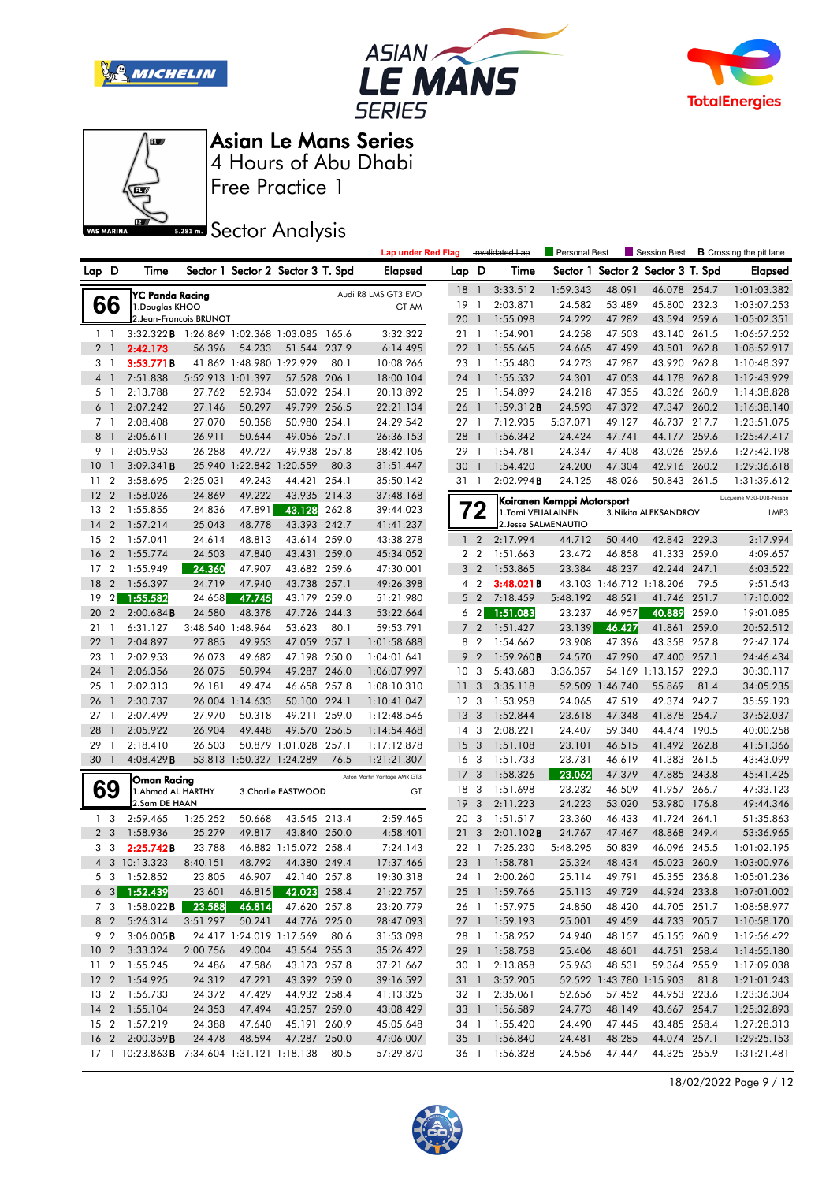







Free Practice 1

**Sector Analysis** 

|                |                |                                                  |                                  |                          |                                   |       | <b>Lap under Red Flag</b>    |                 |                | Invalidated Lap      | Personal Best              |                          | Session Best                      |       | <b>B</b> Crossing the pit lane |
|----------------|----------------|--------------------------------------------------|----------------------------------|--------------------------|-----------------------------------|-------|------------------------------|-----------------|----------------|----------------------|----------------------------|--------------------------|-----------------------------------|-------|--------------------------------|
| Lap D          |                | Time                                             |                                  |                          | Sector 1 Sector 2 Sector 3 T. Spd |       | <b>Elapsed</b>               | Lap D           |                | Time                 |                            |                          | Sector 1 Sector 2 Sector 3 T. Spd |       | <b>Elapsed</b>                 |
|                |                | YC Panda Racing                                  |                                  |                          |                                   |       | Audi R8 LMS GT3 EVO          | 18 1            |                | 3:33.512             | 1:59.343                   | 48.091                   | 46.078 254.7                      |       | 1:01:03.382                    |
|                | 66             | 1. Douglas KHOO                                  |                                  |                          |                                   |       | GT AM                        | 19              | $\overline{1}$ | 2:03.871             | 24.582                     | 53.489                   | 45.800 232.3                      |       | 1:03:07.253                    |
|                |                | 2. Jean-Francois BRUNOT                          |                                  |                          |                                   |       |                              | 201             |                | 1:55.098             | 24.222                     | 47.282                   | 43.594 259.6                      |       | 1:05:02.351                    |
|                | $1\quad$       | 3:32.322B                                        | 1:26.869 1:02.368 1:03.085 165.6 |                          |                                   |       | 3:32.322                     | 21 1            |                | 1:54.901             | 24.258                     | 47.503                   | 43.140 261.5                      |       | 1:06:57.252                    |
|                | 2 <sub>1</sub> | 2:42.173                                         | 56.396                           | 54.233                   | 51.544                            | 237.9 | 6:14.495                     | 221             |                | 1:55.665             | 24.665                     | 47.499                   | 43.501 262.8                      |       | 1:08:52.917                    |
|                | 31             | 3:53.771B                                        |                                  | 41.862 1:48.980 1:22.929 |                                   | 80.1  | 10:08.266                    | 23 1            |                | 1:55.480             | 24.273                     | 47.287                   | 43.920 262.8                      |       | 1:10:48.397                    |
| $\overline{4}$ | $\overline{1}$ | 7:51.838                                         |                                  | 5:52.913 1:01.397        | 57.528 206.1                      |       | 18:00.104                    | 24 1            |                | 1:55.532             | 24.301                     | 47.053                   | 44.178 262.8                      |       | 1:12:43.929                    |
|                | 5 <sub>1</sub> | 2:13.788                                         | 27.762                           | 52.934                   | 53.092 254.1                      |       | 20:13.892                    | 25 1            |                | 1:54.899             | 24.218                     | 47.355                   | 43.326 260.9                      |       | 1:14:38.828                    |
|                | 6 <sup>1</sup> | 2:07.242                                         | 27.146                           | 50.297                   | 49.799 256.5                      |       | 22:21.134                    | 26 1            |                | 1:59.312B            | 24.593                     | 47.372                   | 47.347 260.2                      |       | 1:16:38.140                    |
|                | 7 <sub>1</sub> | 2:08.408                                         | 27.070                           | 50.358                   | 50.980 254.1                      |       | 24:29.542                    | 271             |                | 7:12.935             | 5:37.071                   | 49.127                   | 46.737 217.7                      |       | 1:23:51.075                    |
| 8              | $\mathbf{1}$   | 2:06.611                                         | 26.911                           | 50.644                   | 49.056 257.1                      |       | 26:36.153                    | 28              | $\overline{1}$ | 1:56.342             | 24.424                     | 47.741                   | 44.177 259.6                      |       | 1:25:47.417                    |
| 9              | $\overline{1}$ | 2:05.953                                         | 26.288                           | 49.727                   | 49.938 257.8                      |       | 28:42.106                    | 29 1            |                | 1:54.781             | 24.347                     | 47.408                   | 43.026 259.6                      |       | 1:27:42.198                    |
| 10             | $\mathbf{1}$   | 3:09.341B                                        |                                  | 25.940 1:22.842 1:20.559 |                                   | 80.3  | 31:51.447                    | 30 1            |                | 1:54.420             | 24.200                     | 47.304                   | 42.916 260.2                      |       | 1:29:36.618                    |
| 11             | $\overline{2}$ | 3:58.695                                         | 2:25.031                         | 49.243                   | 44.421 254.1                      |       | 35:50.142                    | 31 1            |                | 2:02.994B            | 24.125                     | 48.026                   | 50.843 261.5                      |       | 1:31:39.612                    |
| 12             | $\overline{2}$ | 1:58.026                                         | 24.869                           | 49.222                   | 43.935 214.3                      |       | 37:48.168                    |                 |                |                      |                            |                          |                                   |       | Duqueine M30-D08-Nissan        |
| 13             | $\overline{2}$ | 1:55.855                                         | 24.836                           | 47.891                   | 43.128                            | 262.8 | 39:44.023                    |                 | ◢              | 1.Tomi VEIJALAINEN   | Koiranen Kemppi Motorsport |                          | 3. Nikita ALEKSANDROV             |       | LMP3                           |
| 14             | $\overline{2}$ | 1:57.214                                         | 25.043                           | 48.778                   | 43.393 242.7                      |       | 41:41.237                    |                 |                | 2. Jesse SALMENAUTIO |                            |                          |                                   |       |                                |
| 15             | $\overline{2}$ | 1:57.041                                         | 24.614                           | 48.813                   | 43.614 259.0                      |       | 43:38.278                    | $\mathbf{1}$    | $\overline{2}$ | 2:17.994             | 44.712                     | 50.440                   | 42.842 229.3                      |       | 2:17.994                       |
| 16             | $\overline{2}$ | 1:55.774                                         | 24.503                           | 47.840                   | 43.431                            | 259.0 | 45:34.052                    | 2 <sub>2</sub>  |                | 1:51.663             | 23.472                     | 46.858                   | 41.333                            | 259.0 | 4:09.657                       |
| 17             | $\overline{2}$ | 1:55.949                                         | 24.360                           | 47.907                   | 43.682 259.6                      |       | 47:30.001                    | 3               | $\overline{2}$ | 1:53.865             | 23.384                     | 48.237                   | 42.244 247.1                      |       | 6:03.522                       |
| 18             | $\overline{2}$ | 1:56.397                                         | 24.719                           | 47.940                   | 43.738 257.1                      |       | 49:26.398                    | 4 <sub>2</sub>  |                | 3:48.021B            |                            | 43.103 1:46.712 1:18.206 |                                   | 79.5  | 9:51.543                       |
| 19             | 2 <sub>1</sub> | 1:55.582                                         | 24.658                           | 47.745                   | 43.179                            | 259.0 | 51:21.980                    | 5               | $\overline{2}$ | 7:18.459             | 5:48.192                   | 48.521                   | 41.746                            | 251.7 | 17:10.002                      |
| 20             | $\overline{2}$ | 2:00.684B                                        | 24.580                           | 48.378                   | 47.726 244.3                      |       | 53:22.664                    | 6 <sub>2</sub>  |                | 1:51.083             | 23.237                     | 46.957                   | 40.889                            | 259.0 | 19:01.085                      |
| 21             | $\mathbf{1}$   | 6:31.127                                         | 3:48.540 1:48.964                |                          | 53.623                            | 80.1  | 59:53.791                    | 7 <sup>2</sup>  |                | 1:51.427             | 23.139                     | 46.427                   | 41.861                            | 259.0 | 20:52.512                      |
| 22             | $\mathbf{1}$   | 2:04.897                                         | 27.885                           | 49.953                   | 47.059                            | 257.1 | 1:01:58.688                  | 8 2             |                | 1:54.662             | 23.908                     | 47.396                   | 43.358 257.8                      |       | 22:47.174                      |
| 23             | $\mathbf{1}$   | 2:02.953                                         | 26.073                           | 49.682                   | 47.198                            | 250.0 | 1:04:01.641                  | 9               | $\overline{2}$ | 1:59.260B            | 24.570                     | 47.290                   | 47.400                            | 257.1 | 24:46.434                      |
| 24             | $\mathbf{1}$   | 2:06.356                                         | 26.075                           | 50.994                   | 49.287 246.0                      |       | 1:06:07.997                  | 10 <sub>3</sub> |                | 5:43.683             | 3:36.357                   |                          | 54.169 1:13.157 229.3             |       | 30:30.117                      |
| 25             | -1             | 2:02.313                                         | 26.181                           | 49.474                   | 46.658 257.8                      |       | 1:08:10.310                  | 11              | 3              | 3:35.118             | 52.509                     | 1:46.740                 | 55.869                            | 81.4  | 34:05.235                      |
| 26             | $\mathbf{1}$   | 2:30.737                                         |                                  | 26.004 1:14.633          | 50.100                            | 224.1 | 1:10:41.047                  | 12 <sup>3</sup> |                | 1:53.958             | 24.065                     | 47.519                   | 42.374 242.7                      |       | 35:59.193                      |
| 27             | $\mathbf{1}$   | 2:07.499                                         | 27.970                           | 50.318                   | 49.211                            | 259.0 | 1:12:48.546                  | 13              | 3              | 1:52.844             | 23.618                     | 47.348                   | 41.878                            | 254.7 | 37:52.037                      |
| 28             |                | 2:05.922                                         | 26.904                           | 49.448                   | 49.570 256.5                      |       | 1:14:54.468                  | 14 <sup>3</sup> |                | 2:08.221             | 24.407                     | 59.340                   | 44.474 190.5                      |       | 40:00.258                      |
| 29             | -1             | 2:18.410                                         | 26.503                           |                          | 50.879 1:01.028 257.1             |       | 1:17:12.878                  | 15 <sub>3</sub> |                | 1:51.108             | 23.101                     | 46.515                   | 41.492 262.8                      |       | 41:51.366                      |
| 30             | $\overline{1}$ | 4:08.429B                                        |                                  | 53.813 1:50.327 1:24.289 |                                   | 76.5  | 1:21:21.307                  | 16 <sub>3</sub> |                | 1:51.733             | 23.731                     | 46.619                   | 41.383                            | 261.5 | 43:43.099                      |
|                |                | Oman Racing                                      |                                  |                          |                                   |       | Aston Martin Vantage AMR GT3 | 17              | 3              | 1:58.326             | 23.062                     | 47.379                   | 47.885 243.8                      |       | 45:41.425                      |
|                | 69             | 1. Ahmad AL HARTHY                               |                                  |                          | 3. Charlie EASTWOOD               |       | GT                           | 18 3            |                | 1:51.698             | 23.232                     | 46.509                   | 41.957 266.7                      |       | 47:33.123                      |
|                |                | 2.Sam DE HAAN                                    |                                  |                          |                                   |       |                              | 19              | 3              | 2:11.223             | 24.223                     | 53.020                   | 53.980 176.8                      |       | 49:44.346                      |
|                | 1 <sub>3</sub> | 2:59.465                                         | 1:25.252                         | 50.668                   | 43.545 213.4                      |       | 2:59.465                     | 20              | 3              | 1:51.517             | 23.360                     | 46.433                   | 41.724 264.1                      |       | 51:35.863                      |
|                | 2 <sub>3</sub> | 1:58.936                                         | 25.279                           | 49.817                   | 43.840 250.0                      |       | 4:58.401                     | 21              | 3              | 2:01.102B            | 24.767                     | 47.467                   | 48.868                            | 249.4 | 53:36.965                      |
|                | 3 <sub>3</sub> | 2:25.742B                                        | 23.788                           |                          | 46.882 1:15.072 258.4             |       | 7:24.143                     | 22              | $\overline{1}$ | 7:25.230             | 5:48.295                   | 50.839                   | 46.096 245.5                      |       | 1:01:02.195                    |
|                |                | 4 3 10:13.323                                    | 8:40.151                         | 48.792                   | 44.380 249.4                      |       | 17:37.466                    | 23 1            |                | 1:58.781             | 25.324                     | 48.434                   | 45.023 260.9                      |       | 1:03:00.976                    |
|                |                | 5 3 1:52.852                                     | 23.805                           | 46.907                   | 42.140 257.8                      |       | 19:30.318                    |                 |                | 24 1 2:00.260        | 25.114                     | 49.791                   | 45.355 236.8                      |       | 1:05:01.236                    |
|                |                | $63$ 1:52.439                                    | 23.601                           | 46.815                   | 42.023 258.4                      |       | 21:22.757                    |                 |                | 25 1 1:59.766        | 25.113                     | 49.729                   | 44.924 233.8                      |       | 1:07:01.002                    |
|                |                | 7 3 1:58.022 <b>B</b>                            | 23.588                           | 46.814                   | 47.620 257.8                      |       | 23:20.779                    |                 |                | 26 1 1:57.975        | 24.850                     | 48.420                   | 44.705 251.7                      |       | 1:08:58.977                    |
|                |                | 8 2 5:26.314                                     | 3:51.297                         | 50.241                   | 44.776 225.0                      |       | 28:47.093                    |                 |                | 27 1 1:59.193        | 25.001                     | 49.459                   | 44.733 205.7                      |       | 1:10:58.170                    |
|                |                | 9 2 3:06.005B                                    |                                  |                          | 24.417 1:24.019 1:17.569 80.6     |       | 31:53.098                    |                 |                | 28 1 1:58.252        | 24.940                     | 48.157                   | 45.155 260.9                      |       | 1:12:56.422                    |
|                |                | 10 2 3:33.324                                    | 2:00.756                         | 49.004                   | 43.564 255.3                      |       | 35:26.422                    |                 |                | 29 1 1:58.758        | 25.406                     | 48.601                   | 44.751 258.4                      |       | 1:14:55.180                    |
|                |                | 11 2 1:55.245                                    | 24.486                           | 47.586                   | 43.173 257.8                      |       | 37:21.667                    |                 |                | 30 1 2:13.858        | 25.963                     | 48.531                   | 59.364 255.9                      |       | 1:17:09.038                    |
|                |                | 12 2 1:54.925                                    | 24.312                           | 47.221                   | 43.392 259.0                      |       | 39:16.592                    | 31 1            |                | 3:52.205             |                            |                          | 52.522 1:43.780 1:15.903 81.8     |       | 1:21:01.243                    |
|                |                | 13 2 1:56.733                                    | 24.372                           | 47.429                   | 44.932 258.4                      |       | 41:13.325                    | 32 1            |                | 2:35.061             | 52.656                     | 57.452                   | 44.953 223.6                      |       | 1:23:36.304                    |
|                |                | 14 2 1:55.104                                    | 24.353                           | 47.494                   | 43.257 259.0                      |       | 43:08.429                    |                 |                | 33 1 1:56.589        | 24.773                     | 48.149                   | 43.667 254.7                      |       | 1:25:32.893                    |
|                |                | 15 2 1:57.219                                    | 24.388                           | 47.640                   | 45.191 260.9                      |       | 45:05.648                    |                 |                | 34 1 1:55.420        | 24.490                     | 47.445                   | 43.485 258.4                      |       | 1:27:28.313                    |
|                |                | 16 2 2:00.359B                                   | 24.478                           | 48.594                   | 47.287 250.0                      |       | 47:06.007                    |                 |                | 35 1 1:56.840        | 24.481                     | 48.285                   | 44.074 257.1                      |       | 1:29:25.153                    |
|                |                | 17 1 10:23.863 B 7:34.604 1:31.121 1:18.138 80.5 |                                  |                          |                                   |       | 57:29.870                    |                 |                | 36 1 1:56.328        | 24.556                     | 47.447                   | 44.325 255.9                      |       | 1:31:21.481                    |

18/02/2022 Page 9 / 12

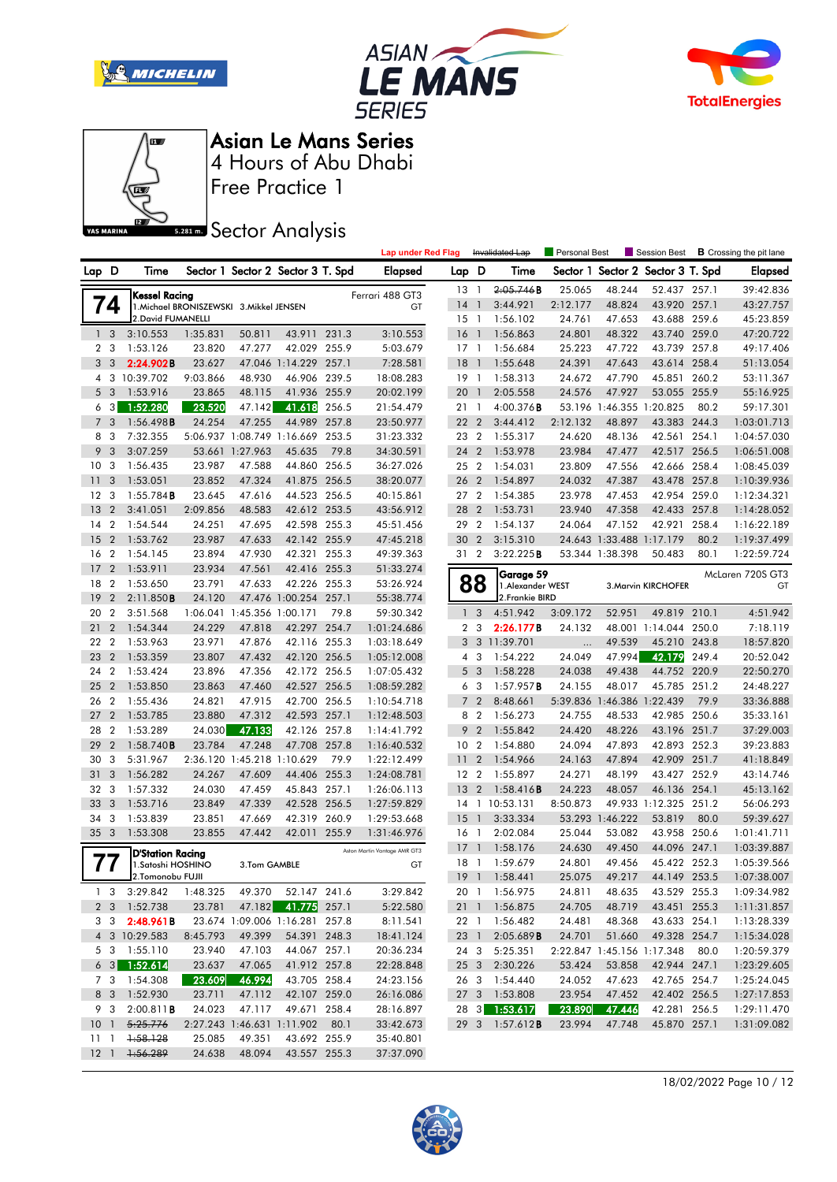







Free Practice 1

# **S281ms** Sector Analysis

|             |                         |                                               |                                          |                            |                                   |       | <b>Lap under Red Flag</b>    |                 |                | Invalidated Lap                | Personal Best |                          | Session Best               |       | <b>B</b> Crossing the pit lane |
|-------------|-------------------------|-----------------------------------------------|------------------------------------------|----------------------------|-----------------------------------|-------|------------------------------|-----------------|----------------|--------------------------------|---------------|--------------------------|----------------------------|-------|--------------------------------|
| Lap D       |                         | Time                                          |                                          |                            | Sector 1 Sector 2 Sector 3 T. Spd |       | Elapsed                      | Lap D           |                | Time                           | Sector 1      |                          | Sector 2 Sector 3 T. Spd   |       | Elapsed                        |
|             |                         | <b>Kessel Racing</b>                          |                                          |                            |                                   |       | Ferrari 488 GT3              | $13-1$          |                | 2.05.746 B                     | 25.065        | 48.244                   | 52.437 257.1               |       | 39:42.836                      |
|             | 74                      |                                               | 1. Michael BRONISZEWSKI 3. Mikkel JENSEN |                            |                                   |       | GT                           | 14              | $\overline{1}$ | 3:44.921                       | 2:12.177      | 48.824                   | 43.920 257.1               |       | 43:27.757                      |
|             |                         | 2. David FUMANELLI                            |                                          |                            |                                   |       |                              | $15-1$          |                | 1:56.102                       | 24.761        | 47.653                   | 43.688 259.6               |       | 45:23.859                      |
|             | 1 <sub>3</sub>          | 3:10.553                                      | 1:35.831                                 | 50.811                     | 43.911                            | 231.3 | 3:10.553                     | 16              | $\overline{1}$ | 1:56.863                       | 24.801        | 48.322                   | 43.740 259.0               |       | 47:20.722                      |
|             | 2 <sub>3</sub>          | 1:53.126                                      | 23.820                                   | 47.277                     | 42.029 255.9                      |       | 5:03.679                     | $17-1$          |                | 1:56.684                       | 25.223        | 47.722                   | 43.739 257.8               |       | 49:17.406                      |
| 3           | 3                       | 2:24.902B                                     | 23.627                                   |                            | 47.046 1:14.229 257.1             |       | 7:28.581                     | 18              | $\overline{1}$ | 1:55.648                       | 24.391        | 47.643                   | 43.614 258.4               |       | 51:13.054                      |
|             |                         | 4 3 10:39.702                                 | 9:03.866                                 | 48.930                     | 46.906                            | 239.5 | 18:08.283                    | 19              | $\overline{1}$ | 1:58.313                       | 24.672        | 47.790                   | 45.851 260.2               |       | 53:11.367                      |
| 5           | 3                       | 1:53.916                                      | 23.865                                   | 48.115                     | 41.936                            | 255.9 | 20:02.199                    | 20              | $\overline{1}$ | 2:05.558                       | 24.576        | 47.927                   | 53.055                     | 255.9 | 55:16.925                      |
| 6           | 3                       | 1:52.280                                      | 23.520                                   | 47.142                     | 41.618                            | 256.5 | 21:54.479                    | 21 1            |                | $4:00.376$ B                   |               | 53.196 1:46.355 1:20.825 |                            | 80.2  | 59:17.301                      |
| $7^{\circ}$ | 3                       | 1:56.498B                                     | 24.254                                   | 47.255                     | 44.989                            | 257.8 | 23:50.977                    | 22 2            |                | 3:44.412                       | 2:12.132      | 48.897                   | 43.383 244.3               |       | 1:03:01.713                    |
| 8           | 3                       | 7:32.355                                      |                                          |                            | 5:06.937 1:08.749 1:16.669        | 253.5 | 31:23.332                    | 23 2            |                | 1:55.317                       | 24.620        | 48.136                   | 42.561 254.1               |       | 1:04:57.030                    |
| 9           | 3                       | 3:07.259                                      |                                          | 53.661 1:27.963            | 45.635                            | 79.8  | 34:30.591                    | 24              | $\overline{2}$ | 1:53.978                       | 23.984        | 47.477                   | 42.517 256.5               |       | 1:06:51.008                    |
| 10          | 3                       | 1:56.435                                      | 23.987                                   | 47.588                     | 44.860 256.5                      |       | 36:27.026                    | 25 2            |                | 1:54.031                       | 23.809        | 47.556                   | 42.666 258.4               |       | 1:08:45.039                    |
| 11          | 3                       | 1:53.051                                      | 23.852                                   | 47.324                     | 41.875                            | 256.5 | 38:20.077                    | 26              | $\overline{2}$ | 1:54.897                       | 24.032        | 47.387                   | 43.478                     | 257.8 | 1:10:39.936                    |
| 12          | 3                       | $1:55.784$ <b>B</b>                           | 23.645                                   | 47.616                     | 44.523 256.5                      |       | 40:15.861                    | 27              | $\overline{2}$ | 1:54.385                       | 23.978        | 47.453                   | 42.954                     | 259.0 | 1:12:34.321                    |
| 13          | $\overline{2}$          | 3:41.051                                      | 2:09.856                                 | 48.583                     | 42.612 253.5                      |       | 43:56.912                    | 28              | $\overline{2}$ | 1:53.731                       | 23.940        | 47.358                   | 42.433                     | 257.8 | 1:14:28.052                    |
| 14          | $\overline{2}$          | 1:54.544                                      | 24.251                                   | 47.695                     | 42.598 255.3                      |       | 45:51.456                    | 29 2            |                | 1:54.137                       | 24.064        | 47.152                   | 42.921                     | 258.4 | 1:16:22.189                    |
| 15          | $\overline{2}$          | 1:53.762                                      | 23.987                                   | 47.633                     | 42.142 255.9                      |       | 47:45.218                    | 30              | $\overline{2}$ | 3:15.310                       |               | 24.643 1:33.488 1:17.179 |                            | 80.2  | 1:19:37.499                    |
| 16          | $\overline{2}$          | 1:54.145                                      | 23.894                                   | 47.930                     | 42.321                            | 255.3 | 49:39.363                    | 31 2            |                | 3:22.225B                      |               | 53.344 1:38.398          | 50.483                     | 80.1  | 1:22:59.724                    |
| 17          | $\overline{2}$          | 1:53.911                                      | 23.934                                   | 47.561                     | 42.416 255.3                      |       | 51:33.274                    |                 |                |                                |               |                          |                            |       | McLaren 720S GT3               |
| 18          | $\overline{2}$          | 1:53.650                                      | 23.791                                   | 47.633                     | 42.226 255.3                      |       | 53:26.924                    |                 | 88             | Garage 59<br>1. Alexander WEST |               |                          | 3. Marvin KIRCHOFER        |       | GT                             |
| 19          | $\overline{2}$          | 2:11.850B                                     | 24.120                                   |                            | 47.476 1:00.254                   | 257.1 | 55:38.774                    |                 |                | 2. Frankie BIRD                |               |                          |                            |       |                                |
| 20          | $\overline{2}$          | 3:51.568                                      |                                          | 1:06.041 1:45.356 1:00.171 |                                   | 79.8  | 59:30.342                    | $\mathbf{1}$    | 3              | 4:51.942                       | 3:09.172      | 52.951                   | 49.819                     | 210.1 | 4:51.942                       |
| 21          | $\overline{2}$          | 1:54.344                                      | 24.229                                   | 47.818                     | 42.297 254.7                      |       | 1:01:24.686                  | $\overline{2}$  | 3              | 2:26.177B                      | 24.132        |                          | 48.001 1:14.044            | 250.0 | 7:18.119                       |
| 22          | $\overline{2}$          | 1:53.963                                      | 23.971                                   | 47.876                     | 42.116 255.3                      |       | 1:03:18.649                  |                 | 3 <sup>3</sup> | 11:39.701                      | .             | 49.539                   | 45.210 243.8               |       | 18:57.820                      |
| 23          | $\overline{2}$          | 1:53.359                                      | 23.807                                   | 47.432                     | 42.120 256.5                      |       | 1:05:12.008                  | 4               | 3              | 1:54.222                       | 24.049        | 47.994                   | 42.179                     | 249.4 | 20:52.042                      |
| 24          | $\overline{2}$          | 1:53.424                                      | 23.896                                   | 47.356                     | 42.172 256.5                      |       | 1:07:05.432                  | 5 <sub>3</sub>  |                | 1:58.228                       | 24.038        | 49.438                   | 44.752 220.9               |       | 22:50.270                      |
| 25          | $\overline{2}$          | 1:53.850                                      | 23.863                                   | 47.460                     | 42.527 256.5                      |       | 1:08:59.282                  | 6 3             |                | 1:57.957B                      | 24.155        | 48.017                   | 45.785                     | 251.2 | 24:48.227                      |
| 26          | $\overline{2}$          | 1:55.436                                      | 24.821                                   | 47.915                     | 42.700 256.5                      |       | 1:10:54.718                  | $\overline{7}$  | $\overline{2}$ | 8:48.661                       | 5:39.836      |                          | 1:46.386 1:22.439          | 79.9  | 33:36.888                      |
| 27          | $\overline{2}$          | 1:53.785                                      | 23.880                                   | 47.312                     | 42.593 257.1                      |       | 1:12:48.503                  | 8               | $\overline{2}$ | 1:56.273                       | 24.755        | 48.533                   | 42.985 250.6               |       | 35:33.161                      |
| 28          | $\overline{2}$          | 1:53.289                                      | 24.030                                   | 47.133                     | 42.126                            | 257.8 | 1:14:41.792                  | 9               | $\overline{2}$ | 1:55.842                       | 24.420        | 48.226                   | 43.196 251.7               |       | 37:29.003                      |
| 29          | $\overline{2}$          | 1:58.740B                                     | 23.784                                   | 47.248                     | 47.708                            | 257.8 | 1:16:40.532                  | 10 <sub>2</sub> |                | 1:54.880                       | 24.094        | 47.893                   | 42.893 252.3               |       | 39:23.883                      |
| 30          | 3                       | 5:31.967                                      |                                          |                            | 2:36.120 1:45.218 1:10.629        | 79.9  | 1:22:12.499                  | 11              | $\overline{2}$ | 1:54.966                       | 24.163        | 47.894                   | 42.909 251.7               |       | 41:18.849                      |
| 31          | 3                       | 1:56.282                                      | 24.267                                   | 47.609                     | 44.406                            | 255.3 | 1:24:08.781                  | 12 <sub>2</sub> |                | 1:55.897                       | 24.271        | 48.199                   | 43.427 252.9               |       | 43:14.746                      |
| 32          | 3                       | 1:57.332                                      | 24.030                                   | 47.459                     | 45.843                            | 257.1 | 1:26:06.113                  | 13              | $\overline{2}$ | 1:58.416B                      | 24.223        | 48.057                   | 46.136 254.1               |       | 45:13.162                      |
| 33          | 3                       | 1:53.716                                      | 23.849                                   | 47.339                     | 42.528 256.5                      |       | 1:27:59.829                  |                 |                | 14 1 10:53.131                 | 8:50.873      |                          | 49.933 1:12.325 251.2      |       | 56:06.293                      |
| 34          | 3                       | 1:53.839                                      | 23.851                                   | 47.669                     | 42.319                            | 260.9 | 1:29:53.668                  | 15              | $\mathbf{1}$   | 3:33.334                       |               | 53.293 1:46.222          | 53.819                     | 80.0  | 59:39.627                      |
| 35          | $\overline{\mathbf{3}}$ | 1:53.308                                      | 23.855                                   | 47.442                     | 42.011                            | 255.9 | 1:31:46.976                  | 16              | $\overline{1}$ | 2:02.084                       | 25.044        | 53.082                   | 43.958 250.6               |       | 1:01:41.711                    |
|             |                         |                                               |                                          |                            |                                   |       | Aston Martin Vantage AMR GT3 | 17              | $\mathbf{1}$   | 1:58.176                       | 24.630        | 49.450                   | 44.096                     | 247.1 | 1:03:39.887                    |
|             | 77                      | <b>D'Station Racing</b><br>1. Satoshi HOSHINO |                                          | 3.Tom GAMBLE               |                                   |       | GT                           | $18-1$          |                | 1:59.679                       | 24.801        | 49.456                   | 45.422 252.3               |       | 1:05:39.566                    |
|             |                         | _ 2.Tomonobu FUJII                            |                                          |                            |                                   |       |                              |                 |                | 19 1 1:58.441                  | 25.075        | 49.217                   | 44.149 253.5               |       | 1:07:38.007                    |
|             |                         | $1 \quad 3 \quad 3:29.842$                    | 1:48.325                                 | 49.370                     | 52.147 241.6                      |       | 3:29.842                     |                 |                | 20 1 1:56.975                  | 24.811        | 48.635                   | 43.529 255.3               |       | 1:09:34.982                    |
|             |                         | 2 3 1:52.738                                  | 23.781                                   |                            | 47.182 41.775 257.1               |       | 5:22.580                     |                 |                | 21 1 1:56.875                  | 24.705        | 48.719                   | 43.451 255.3               |       | 1:11:31.857                    |
|             |                         | $3 \quad 3 \quad 2:48.961B$                   |                                          |                            | 23.674 1:09.006 1:16.281 257.8    |       | 8:11.541                     |                 |                | 22 1 1:56.482                  | 24.481        | 48.368                   | 43.633 254.1               |       | 1:13:28.339                    |
|             |                         | 4 3 10:29.583                                 | 8:45.793                                 | 49.399                     | 54.391 248.3                      |       | 18:41.124                    |                 |                | 23 1 2:05.689 <b>B</b>         | 24.701        | 51.660                   | 49.328 254.7               |       | 1:15:34.028                    |
|             |                         | 5 3 1:55.110                                  | 23.940                                   | 47.103                     | 44.067 257.1                      |       | 20:36.234                    |                 |                | 24 3 5:25.351                  |               |                          | 2:22.847 1:45.156 1:17.348 | 80.0  | 1:20:59.379                    |
|             |                         | $63$ 1:52.614                                 | 23.637                                   | 47.065                     | 41.912 257.8                      |       | 22:28.848                    |                 |                | 25 3 2:30.226                  | 53.424        | 53.858                   | 42.944 247.1               |       | 1:23:29.605                    |
|             |                         | 7 3 1:54.308                                  | 23.609                                   | 46.994                     | 43.705 258.4                      |       | 24:23.156                    |                 |                | 26 3 1:54.440                  | 24.052        | 47.623                   | 42.765 254.7               |       | 1:25:24.045                    |
|             |                         | 8 3 1:52.930                                  | 23.711                                   | 47.112                     | 42.107 259.0                      |       | 26:16.086                    |                 |                | 27 3 1:53.808                  | 23.954        | 47.452                   | 42.402 256.5               |       | 1:27:17.853                    |
|             | 9 3                     | 2:00.811B                                     | 24.023                                   | 47.117                     | 49.671 258.4                      |       | 28:16.897                    |                 |                | 28 3 1:53.617                  | 23.890        | 47.446                   | 42.281 256.5               |       | 1:29:11.470                    |
|             |                         | 10 1 5:25.776                                 |                                          |                            | 2:27.243 1:46.631 1:11.902 80.1   |       | 33:42.673                    |                 |                | 29 3 1:57.612B                 | 23.994        | 47.748                   | 45.870 257.1               |       | 1:31:09.082                    |
|             | 1111                    | +:58.128                                      | 25.085                                   | 49.351                     | 43.692 255.9                      |       | 35:40.801                    |                 |                |                                |               |                          |                            |       |                                |
|             |                         | $12 \quad 1 \quad \frac{1.56}{289}$           | 24.638                                   | 48.094                     | 43.557 255.3                      |       | 37:37.090                    |                 |                |                                |               |                          |                            |       |                                |

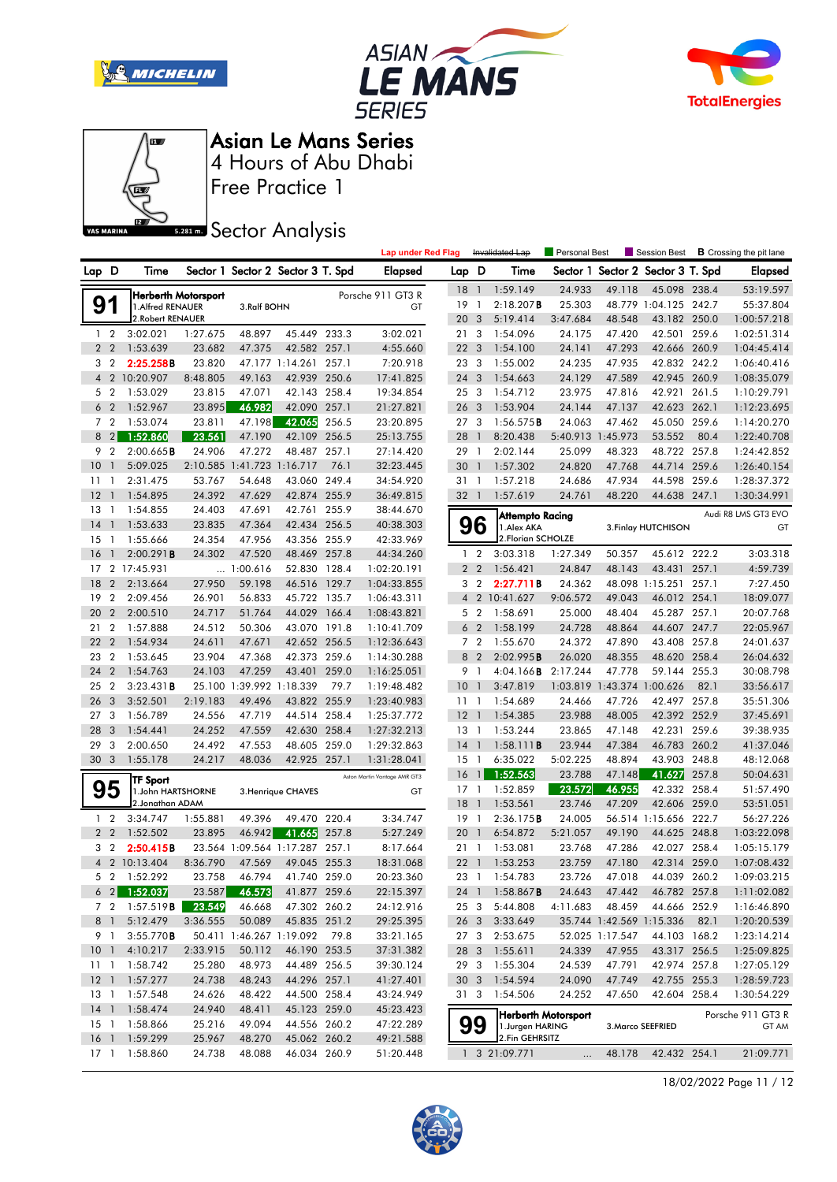







Free Practice 1

# **Sector Analysis**

|                 |                  |                                |                     |                            |                                   |       | <b>Lap under Red Flag</b>    |                 |                | Invalidated Lap                   | Personal Best       |                            | Session Best                      |       | <b>B</b> Crossing the pit lane |
|-----------------|------------------|--------------------------------|---------------------|----------------------------|-----------------------------------|-------|------------------------------|-----------------|----------------|-----------------------------------|---------------------|----------------------------|-----------------------------------|-------|--------------------------------|
| Lap D           |                  | Time                           |                     |                            | Sector 1 Sector 2 Sector 3 T. Spd |       | <b>Elapsed</b>               | Lap D           |                | Time                              |                     |                            | Sector 1 Sector 2 Sector 3 T. Spd |       | <b>Elapsed</b>                 |
|                 |                  |                                | Herberth Motorsport |                            |                                   |       | Porsche 911 GT3 R            | 18 <sup>1</sup> |                | 1:59.149                          | 24.933              | 49.118                     | 45.098 238.4                      |       | 53:19.597                      |
| 91              |                  | 1. Alfred RENAUER              |                     | 3.Ralf BOHN                |                                   |       | GT                           | 19              | $\overline{1}$ | 2:18.207B                         | 25.303              |                            | 48.779 1:04.125 242.7             |       | 55:37.804                      |
|                 |                  | 2. Robert RENAUER              |                     |                            |                                   |       |                              | 20              | $\mathbf{3}$   | 5:19.414                          | 3:47.684            | 48.548                     | 43.182 250.0                      |       | 1:00:57.218                    |
|                 | $1\quad2$        | 3:02.021                       | 1:27.675            | 48.897                     | 45.449 233.3                      |       | 3:02.021                     | 21 3            |                | 1:54.096                          | 24.175              | 47.420                     | 42.501 259.6                      |       | 1:02:51.314                    |
|                 | 2 <sub>2</sub>   | 1:53.639                       | 23.682              | 47.375                     | 42.582 257.1                      |       | 4:55.660                     | 22 <sub>3</sub> |                | 1:54.100                          | 24.141              | 47.293                     | 42.666 260.9                      |       | 1:04:45.414                    |
|                 | 3 <sub>2</sub>   | 2:25.258B                      | 23.820              |                            | 47.177 1:14.261 257.1             |       | 7:20.918                     | 23 3            |                | 1:55.002                          | 24.235              | 47.935                     | 42.832 242.2                      |       | 1:06:40.416                    |
|                 |                  | 4 2 10:20.907                  | 8:48.805            | 49.163                     | 42.939 250.6                      |       | 17:41.825                    | 24 3            |                | 1:54.663                          | 24.129              | 47.589                     | 42.945 260.9                      |       | 1:08:35.079                    |
|                 | 5 <sub>2</sub>   | 1:53.029                       | 23.815              | 47.071                     | 42.143 258.4                      |       | 19:34.854                    | 253             |                | 1:54.712                          | 23.975              | 47.816                     | 42.921 261.5                      |       | 1:10:29.791                    |
|                 | 6 <sub>2</sub>   | 1:52.967                       | 23.895              | 46.982                     | 42.090 257.1                      |       | 21:27.821                    | 26 3            |                | 1:53.904                          | 24.144              | 47.137                     | 42.623 262.1                      |       | 1:12:23.695                    |
|                 | 7 <sub>2</sub>   | 1:53.074                       | 23.811              | 47.198                     | 42.065                            | 256.5 | 23:20.895                    | 27 <sub>3</sub> |                | $1:56.575$ <b>B</b>               | 24.063              | 47.462                     | 45.050 259.6                      |       | 1:14:20.270                    |
| 8               | $\left  \right $ | 1:52.860                       | 23.561              | 47.190                     | 42.109 256.5                      |       | 25:13.755                    | 28              | $\overline{1}$ | 8:20.438                          | 5:40.913 1:45.973   |                            | 53.552                            | 80.4  | 1:22:40.708                    |
|                 | 9 <sub>2</sub>   | 2:00.665B                      | 24.906              | 47.272                     | 48.487 257.1                      |       | 27:14.420                    | 29              | $\overline{1}$ | 2:02.144                          | 25.099              | 48.323                     | 48.722 257.8                      |       | 1:24:42.852                    |
| 10              | $\overline{1}$   | 5:09.025                       |                     | 2:10.585 1:41.723 1:16.717 |                                   | 76.1  | 32:23.445                    | 30              | $\overline{1}$ | 1:57.302                          | 24.820              | 47.768                     | 44.714 259.6                      |       | 1:26:40.154                    |
| 11              | $\overline{1}$   | 2:31.475                       | 53.767              | 54.648                     | 43.060 249.4                      |       | 34:54.920                    | 31 1            |                | 1:57.218                          | 24.686              | 47.934                     | 44.598                            | 259.6 | 1:28:37.372                    |
| 12              | $\overline{1}$   | 1:54.895                       | 24.392              | 47.629                     | 42.874 255.9                      |       | 36:49.815                    | 32 1            |                | 1:57.619                          | 24.761              | 48.220                     | 44.638 247.1                      |       | 1:30:34.991                    |
| 13              | $\overline{1}$   | 1:54.855                       | 24.403              | 47.691                     | 42.761 255.9                      |       | 38:44.670                    |                 |                | <b>Attempto Racing</b>            |                     |                            |                                   |       | Audi R8 LMS GT3 EVO            |
| 14              | $\overline{1}$   | 1:53.633                       | 23.835              | 47.364                     | 42.434 256.5                      |       | 40:38.303                    |                 | 96             | 1.Alex AKA                        |                     |                            | 3. Finlay HUTCHISON               |       | GT                             |
| 15              | $\overline{1}$   | 1:55.666                       | 24.354              | 47.956                     | 43.356 255.9                      |       | 42:33.969                    |                 |                | 2. Florian SCHOLZE                |                     |                            |                                   |       |                                |
| 16              | $\mathbf{1}$     | 2:00.291B                      | 24.302              | 47.520                     | 48.469 257.8                      |       | 44:34.260                    | 1               | $\overline{2}$ | 3:03.318                          | 1:27.349            | 50.357                     | 45.612 222.2                      |       | 3:03.318                       |
|                 |                  | 17 2 17:45.931                 |                     | 1:00.616                   | 52.830 128.4                      |       | 1:02:20.191                  |                 | 2 <sub>2</sub> | 1:56.421                          | 24.847              | 48.143                     | 43.431 257.1                      |       | 4:59.739                       |
| 18              | $\overline{2}$   | 2:13.664                       | 27.950              | 59.198                     | 46.516 129.7                      |       | 1:04:33.855                  |                 | 3 <sub>2</sub> | 2:27.711B                         | 24.362              |                            | 48.098 1:15.251 257.1             |       | 7:27.450                       |
| 19              | $\overline{2}$   | 2:09.456                       | 26.901              | 56.833                     | 45.722 135.7                      |       | 1:06:43.311                  | $\overline{4}$  | $\overline{2}$ | 10:41.627                         | 9:06.572            | 49.043                     | 46.012 254.1                      |       | 18:09.077                      |
| 20              | $\overline{2}$   | 2:00.510                       | 24.717              | 51.764                     | 44.029                            | 166.4 | 1:08:43.821                  |                 | 5 <sub>2</sub> | 1:58.691                          | 25.000              | 48.404                     | 45.287 257.1                      |       | 20:07.768                      |
| 21 2            |                  | 1:57.888                       | 24.512              | 50.306                     | 43.070 191.8                      |       | 1:10:41.709                  |                 | 6 <sub>2</sub> | 1:58.199                          | 24.728              | 48.864                     | 44.607 247.7                      |       | 22:05.967                      |
| 22 2            |                  | 1:54.934                       | 24.611              | 47.671                     | 42.652 256.5                      |       | 1:12:36.643                  |                 | 7 <sub>2</sub> | 1:55.670                          | 24.372              | 47.890                     | 43.408 257.8                      |       | 24:01.637                      |
| 23              | $\overline{2}$   | 1:53.645                       | 23.904              | 47.368                     | 42.373 259.6                      |       | 1:14:30.288                  | 8               | $\overline{2}$ | 2:02.995B                         | 26.020              | 48.355                     | 48.620 258.4                      |       | 26:04.632                      |
| 24 2            |                  | 1:54.763                       | 24.103              | 47.259                     | 43.401                            | 259.0 | 1:16:25.051                  | 9               | - 1            | 4:04.166B                         | 2:17.244            | 47.778                     | 59.144 255.3                      |       | 30:08.798                      |
| 252             |                  | 3:23.431B                      |                     | 25.100 1:39.992 1:18.339   |                                   | 79.7  | 1:19:48.482                  | 10              | $\overline{1}$ | 3:47.819                          |                     | 1:03.819 1:43.374 1:00.626 |                                   | 82.1  | 33:56.617                      |
| 26              | 3                | 3:52.501                       | 2:19.183            | 49.496                     | 43.822 255.9                      |       | 1:23:40.983                  | 11              | $\overline{1}$ | 1:54.689                          | 24.466              | 47.726                     | 42.497 257.8                      |       | 35:51.306                      |
| 27 <sub>3</sub> |                  | 1:56.789                       | 24.556              | 47.719                     | 44.514                            | 258.4 | 1:25:37.772                  | $12-1$          |                | 1:54.385                          | 23.988              | 48.005                     | 42.392 252.9                      |       | 37:45.691                      |
| 28              | -3               | 1:54.441                       | 24.252              | 47.559                     | 42.630 258.4                      |       | 1:27:32.213                  | $13-1$          |                | 1:53.244                          | 23.865              | 47.148                     | 42.231 259.6                      |       | 39:38.935                      |
| 29              | -3               | 2:00.650                       | 24.492              | 47.553                     | 48.605 259.0                      |       | 1:29:32.863                  | $14-1$          |                | 1:58.111B                         | 23.944              | 47.384                     | 46.783 260.2                      |       | 41:37.046                      |
| 30 <sub>3</sub> |                  | 1:55.178                       | 24.217              | 48.036                     | 42.925 257.1                      |       | 1:31:28.041                  | 15              | $\overline{1}$ | 6:35.022                          | 5:02.225            | 48.894                     | 43.903 248.8                      |       | 48:12.068                      |
|                 |                  | TF Sport                       |                     |                            |                                   |       | Aston Martin Vantage AMR GT3 | 16              | $\mathbf{1}$   | 1:52.563                          | 23.788              | 47.148                     | 41.627                            | 257.8 | 50:04.631                      |
|                 | 95               | 1.John HARTSHORNE              |                     |                            | 3. Henrique CHAVES                |       | GT                           | $17-1$          |                | 1:52.859                          | 23.572              | 46.955                     | 42.332 258.4                      |       | 51:57.490                      |
|                 |                  | 2. Jonathan ADAM               |                     |                            |                                   |       |                              | 18              | $\overline{1}$ | 1:53.561                          | 23.746              | 47.209                     | 42.606 259.0                      |       | 53:51.051                      |
|                 | $1\quad 2$       | 3:34.747                       | 1:55.881            | 49.396                     | 49.470 220.4                      |       | 3:34.747                     | 19              | $\overline{1}$ | 2:36.175B                         | 24.005              |                            | 56.514 1:15.656 222.7             |       | 56:27.226                      |
|                 | 2 <sub>2</sub>   | 1:52.502                       | 23.895              | 46.942                     | 41.665                            | 257.8 | 5:27.249                     | 20              | $\overline{1}$ | 6:54.872                          | 5:21.057            | 49.190                     | 44.625 248.8                      |       | 1:03:22.098                    |
|                 | 3 <sub>2</sub>   | 2:50.415B                      |                     |                            | 23.564 1:09.564 1:17.287 257.1    |       | 8:17.664                     | 21 1            |                | 1:53.081                          | 23.768              | 47.286                     | 42.027 258.4                      |       | 1:05:15.179                    |
|                 |                  | 4 2 10:13.404                  | 8:36.790            | 47.569                     | 49.045 255.3                      |       | 18:31.068                    | $22 \quad 1$    |                | 1:53.253                          | 23.759              | 47.180                     | 42.314 259.0                      |       | 1:07:08.432                    |
|                 |                  | 5 2 1:52.292                   | 23.758              | 46.794                     | 41.740 259.0                      |       | 20:23.360                    |                 |                | 23 1 1:54.783                     | 23.726              | 47.018                     | 44.039 260.2                      |       | 1:09:03.215                    |
|                 | $6 \quad 2$      | 1:52.037                       | 23.587              | 46.573                     | 41.877 259.6                      |       | 22:15.397                    | 24 1            |                | 1:58.867B                         | 24.643              | 47.442                     | 46.782 257.8                      |       | 1:11:02.082                    |
|                 |                  | 7 2 1:57.519 <b>B</b>          | 23.549              | 46.668                     | 47.302 260.2                      |       | 24:12.916                    | 25 3            |                | 5:44.808                          | 4:11.683            | 48.459                     | 44.666 252.9                      |       | 1:16:46.890                    |
|                 | 8 1              | 5:12.479                       | 3:36.555            | 50.089                     | 45.835 251.2                      |       | 29:25.395                    | 26 3            |                | 3:33.649                          |                     |                            | 35.744 1:42.569 1:15.336          | 82.1  | 1:20:20.539                    |
|                 | 9 1              | 3:55.770B                      |                     | 50.411 1:46.267 1:19.092   |                                   | 79.8  | 33:21.165                    |                 |                | 27 3 2:53.675<br>1:55.611         |                     | 52.025 1:17.547            | 44.103 168.2<br>43.317 256.5      |       | 1:23:14.214                    |
| 10 <sub>1</sub> |                  | 4:10.217                       | 2:33.915            | 50.112                     | 46.190 253.5<br>44.489 256.5      |       | 37:31.382                    | 28 3            |                |                                   | 24.339              | 47.955                     |                                   |       | 1:25:09.825                    |
|                 |                  | 11 1:58.742                    | 25.280              | 48.973                     |                                   |       | 39:30.124                    | 293             |                | 1:55.304                          | 24.539              | 47.791                     | 42.974 257.8                      |       | 1:27:05.129                    |
|                 |                  | 12 1 1:57.277<br>13 1 1:57.548 | 24.738<br>24.626    | 48.243<br>48.422           | 44.296 257.1<br>44.500 258.4      |       | 41:27.401<br>43:24.949       | 30 <sub>3</sub> |                | 1:54.594                          | 24.090              | 47.749                     | 42.755 255.3                      |       | 1:28:59.723<br>1:30:54.229     |
| $14-1$          |                  | 1:58.474                       | 24.940              | 48.411                     | 45.123 259.0                      |       | 45:23.423                    | 313             |                | 1:54.506                          | 24.252              | 47.650                     | 42.604 258.4                      |       |                                |
|                 |                  | 15 1 1:58.866                  | 25.216              | 49.094                     | 44.556 260.2                      |       | 47:22.289                    |                 |                |                                   | Herberth Motorsport |                            |                                   |       | Porsche 911 GT3 R              |
| $16-1$          |                  | 1:59.299                       | 25.967              | 48.270                     | 45.062 260.2                      |       | 49:21.588                    |                 | 99             | 1.Jurgen HARING<br>2.Fin GEHRSITZ |                     |                            | 3. Marco SEEFRIED                 |       | GT AM                          |
|                 |                  | 17 1 1:58.860                  | 24.738              | 48.088                     | 46.034 260.9                      |       | 51:20.448                    |                 |                | 1 3 21:09.771                     | $\ddotsc$           |                            | 48.178 42.432 254.1               |       | 21:09.771                      |

18/02/2022 Page 11 / 12